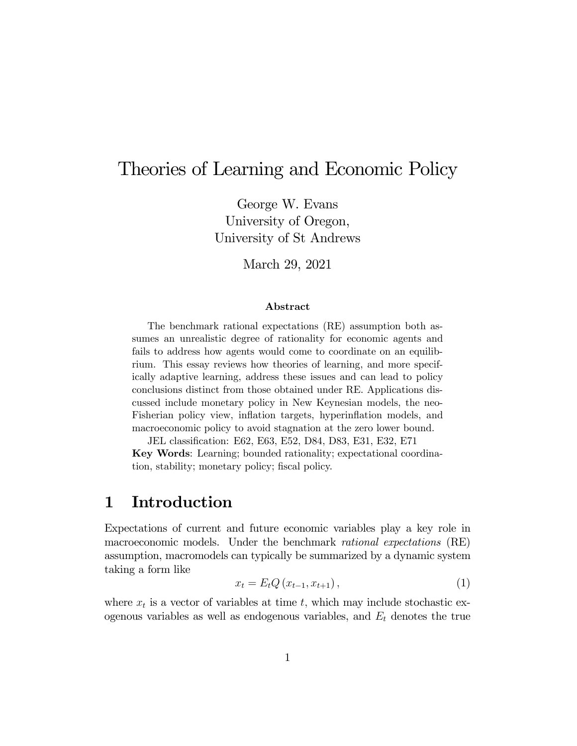# Theories of Learning and Economic Policy

George W. Evans University of Oregon, University of St Andrews

March 29, 2021

#### Abstract

The benchmark rational expectations (RE) assumption both assumes an unrealistic degree of rationality for economic agents and fails to address how agents would come to coordinate on an equilibrium. This essay reviews how theories of learning, and more specifically adaptive learning, address these issues and can lead to policy conclusions distinct from those obtained under RE. Applications discussed include monetary policy in New Keynesian models, the neo-Fisherian policy view, inflation targets, hyperinflation models, and macroeconomic policy to avoid stagnation at the zero lower bound.

JEL classification: E62, E63, E52, D84, D83, E31, E32, E71 Key Words: Learning; bounded rationality; expectational coordination, stability; monetary policy; fiscal policy.

### 1 Introduction

Expectations of current and future economic variables play a key role in macroeconomic models. Under the benchmark rational expectations (RE) assumption, macromodels can typically be summarized by a dynamic system taking a form like

$$
x_{t} = E_{t}Q(x_{t-1}, x_{t+1}), \qquad (1)
$$

where  $x_t$  is a vector of variables at time  $t$ , which may include stochastic exogenous variables as well as endogenous variables, and  $E_t$  denotes the true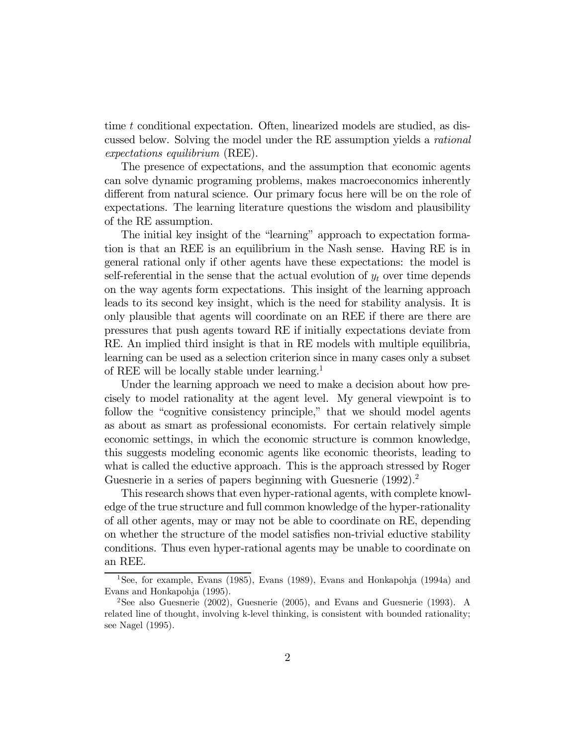time  $t$  conditional expectation. Often, linearized models are studied, as discussed below. Solving the model under the RE assumption yields a rational expectations equilibrium (REE).

The presence of expectations, and the assumption that economic agents can solve dynamic programing problems, makes macroeconomics inherently different from natural science. Our primary focus here will be on the role of expectations. The learning literature questions the wisdom and plausibility of the RE assumption.

The initial key insight of the "learning" approach to expectation formation is that an REE is an equilibrium in the Nash sense. Having RE is in general rational only if other agents have these expectations: the model is self-referential in the sense that the actual evolution of  $y_t$  over time depends on the way agents form expectations. This insight of the learning approach leads to its second key insight, which is the need for stability analysis. It is only plausible that agents will coordinate on an REE if there are there are pressures that push agents toward RE if initially expectations deviate from RE. An implied third insight is that in RE models with multiple equilibria, learning can be used as a selection criterion since in many cases only a subset of REE will be locally stable under learning.1

Under the learning approach we need to make a decision about how precisely to model rationality at the agent level. My general viewpoint is to follow the "cognitive consistency principle," that we should model agents as about as smart as professional economists. For certain relatively simple economic settings, in which the economic structure is common knowledge, this suggests modeling economic agents like economic theorists, leading to what is called the eductive approach. This is the approach stressed by Roger Guesnerie in a series of papers beginning with Guesnerie  $(1992)^2$ .

This research shows that even hyper-rational agents, with complete knowledge of the true structure and full common knowledge of the hyper-rationality of all other agents, may or may not be able to coordinate on RE, depending on whether the structure of the model satisfies non-trivial eductive stability conditions. Thus even hyper-rational agents may be unable to coordinate on an REE.

<sup>&</sup>lt;sup>1</sup>See, for example, Evans (1985), Evans (1989), Evans and Honkapohja (1994a) and Evans and Honkapohja (1995).

<sup>2</sup>See also Guesnerie (2002), Guesnerie (2005), and Evans and Guesnerie (1993). A related line of thought, involving k-level thinking, is consistent with bounded rationality; see Nagel (1995).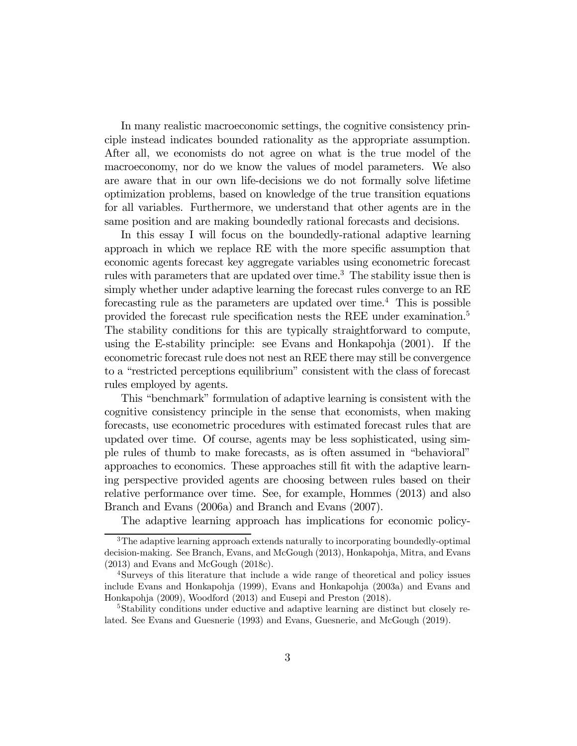In many realistic macroeconomic settings, the cognitive consistency principle instead indicates bounded rationality as the appropriate assumption. After all, we economists do not agree on what is the true model of the macroeconomy, nor do we know the values of model parameters. We also are aware that in our own life-decisions we do not formally solve lifetime optimization problems, based on knowledge of the true transition equations for all variables. Furthermore, we understand that other agents are in the same position and are making boundedly rational forecasts and decisions.

In this essay I will focus on the boundedly-rational adaptive learning approach in which we replace RE with the more specific assumption that economic agents forecast key aggregate variables using econometric forecast rules with parameters that are updated over time.<sup>3</sup> The stability issue then is simply whether under adaptive learning the forecast rules converge to an RE forecasting rule as the parameters are updated over time.<sup>4</sup> This is possible provided the forecast rule specification nests the REE under examination.5 The stability conditions for this are typically straightforward to compute, using the E-stability principle: see Evans and Honkapohja (2001). If the econometric forecast rule does not nest an REE there may still be convergence to a "restricted perceptions equilibrium" consistent with the class of forecast rules employed by agents.

This "benchmark" formulation of adaptive learning is consistent with the cognitive consistency principle in the sense that economists, when making forecasts, use econometric procedures with estimated forecast rules that are updated over time. Of course, agents may be less sophisticated, using simple rules of thumb to make forecasts, as is often assumed in "behavioral" approaches to economics. These approaches still fit with the adaptive learning perspective provided agents are choosing between rules based on their relative performance over time. See, for example, Hommes (2013) and also Branch and Evans (2006a) and Branch and Evans (2007).

The adaptive learning approach has implications for economic policy-

 $3$ The adaptive learning approach extends naturally to incorporating boundedly-optimal decision-making. See Branch, Evans, and McGough (2013), Honkapohja, Mitra, and Evans (2013) and Evans and McGough (2018c).

<sup>4</sup>Surveys of this literature that include a wide range of theoretical and policy issues include Evans and Honkapohja (1999), Evans and Honkapohja (2003a) and Evans and Honkapohja (2009), Woodford (2013) and Eusepi and Preston (2018).

<sup>&</sup>lt;sup>5</sup>Stability conditions under eductive and adaptive learning are distinct but closely related. See Evans and Guesnerie (1993) and Evans, Guesnerie, and McGough (2019).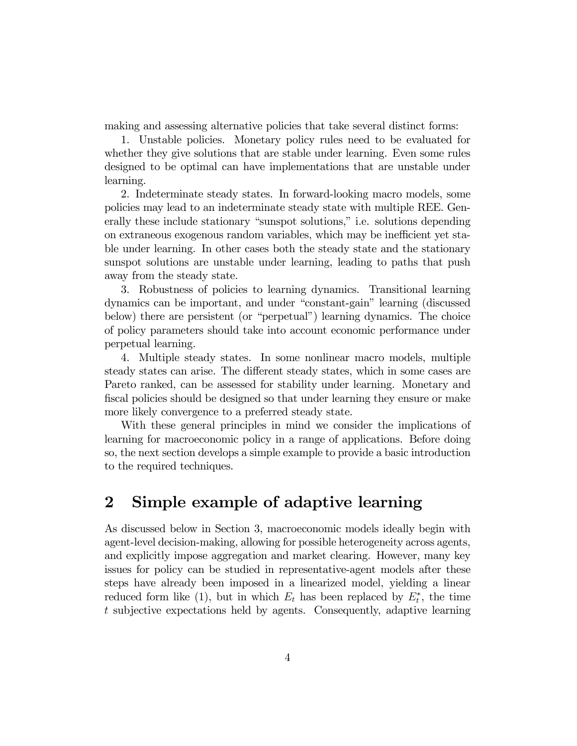making and assessing alternative policies that take several distinct forms:

1. Unstable policies. Monetary policy rules need to be evaluated for whether they give solutions that are stable under learning. Even some rules designed to be optimal can have implementations that are unstable under learning.

2. Indeterminate steady states. In forward-looking macro models, some policies may lead to an indeterminate steady state with multiple REE. Generally these include stationary "sunspot solutions," i.e. solutions depending on extraneous exogenous random variables, which may be inefficient yet stable under learning. In other cases both the steady state and the stationary sunspot solutions are unstable under learning, leading to paths that push away from the steady state.

3. Robustness of policies to learning dynamics. Transitional learning dynamics can be important, and under "constant-gain" learning (discussed below) there are persistent (or "perpetual") learning dynamics. The choice of policy parameters should take into account economic performance under perpetual learning.

4. Multiple steady states. In some nonlinear macro models, multiple steady states can arise. The different steady states, which in some cases are Pareto ranked, can be assessed for stability under learning. Monetary and fiscal policies should be designed so that under learning they ensure or make more likely convergence to a preferred steady state.

With these general principles in mind we consider the implications of learning for macroeconomic policy in a range of applications. Before doing so, the next section develops a simple example to provide a basic introduction to the required techniques.

### 2 Simple example of adaptive learning

As discussed below in Section 3, macroeconomic models ideally begin with agent-level decision-making, allowing for possible heterogeneity across agents, and explicitly impose aggregation and market clearing. However, many key issues for policy can be studied in representative-agent models after these steps have already been imposed in a linearized model, yielding a linear reduced form like (1), but in which  $E_t$  has been replaced by  $E_t^*$ , the time subjective expectations held by agents. Consequently, adaptive learning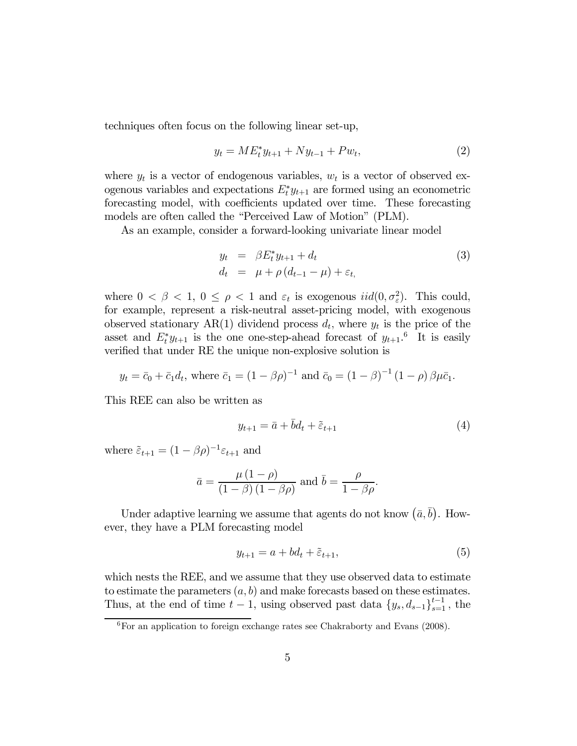techniques often focus on the following linear set-up,

$$
y_t = ME_t^* y_{t+1} + N y_{t-1} + P w_t, \tag{2}
$$

where  $y_t$  is a vector of endogenous variables,  $w_t$  is a vector of observed exogenous variables and expectations  $E_t^* y_{t+1}$  are formed using an econometric forecasting model, with coefficients updated over time. These forecasting models are often called the "Perceived Law of Motion" (PLM).

As an example, consider a forward-looking univariate linear model

$$
y_t = \beta E_t^* y_{t+1} + d_t
$$
  
\n
$$
d_t = \mu + \rho (d_{t-1} - \mu) + \varepsilon_t,
$$
\n(3)

where  $0 < \beta < 1$ ,  $0 \le \rho < 1$  and  $\varepsilon_t$  is exogenous  $iid(0, \sigma_{\varepsilon}^2)$ . This could, for example, represent a risk-neutral asset-pricing model, with exogenous observed stationary AR(1) dividend process  $d_t$ , where  $y_t$  is the price of the asset and  $E_t^* y_{t+1}$  is the one one-step-ahead forecast of  $y_{t+1}$ <sup>6</sup>. It is easily verified that under RE the unique non-explosive solution is

$$
y_t = \bar{c}_0 + \bar{c}_1 d_t
$$
, where  $\bar{c}_1 = (1 - \beta \rho)^{-1}$  and  $\bar{c}_0 = (1 - \beta)^{-1} (1 - \rho) \beta \mu \bar{c}_1$ .

This REE can also be written as

$$
y_{t+1} = \bar{a} + \bar{b}d_t + \tilde{\varepsilon}_{t+1} \tag{4}
$$

where  $\tilde{\varepsilon}_{t+1} = (1 - \beta \rho)^{-1} \varepsilon_{t+1}$  and

$$
\bar{a} = \frac{\mu (1 - \rho)}{(1 - \beta)(1 - \beta \rho)} \text{ and } \bar{b} = \frac{\rho}{1 - \beta \rho}.
$$

Under adaptive learning we assume that agents do not know  $(\bar{a}, \bar{b})$ . However, they have a PLM forecasting model

$$
y_{t+1} = a + bd_t + \tilde{\varepsilon}_{t+1},\tag{5}
$$

which nests the REE, and we assume that they use observed data to estimate to estimate the parameters  $(a, b)$  and make forecasts based on these estimates. Thus, at the end of time  $t-1$ , using observed past data  $\{y_s, d_{s-1}\}_{s=1}^{t-1}$ , the

 ${}^{6}$ For an application to foreign exchange rates see Chakraborty and Evans (2008).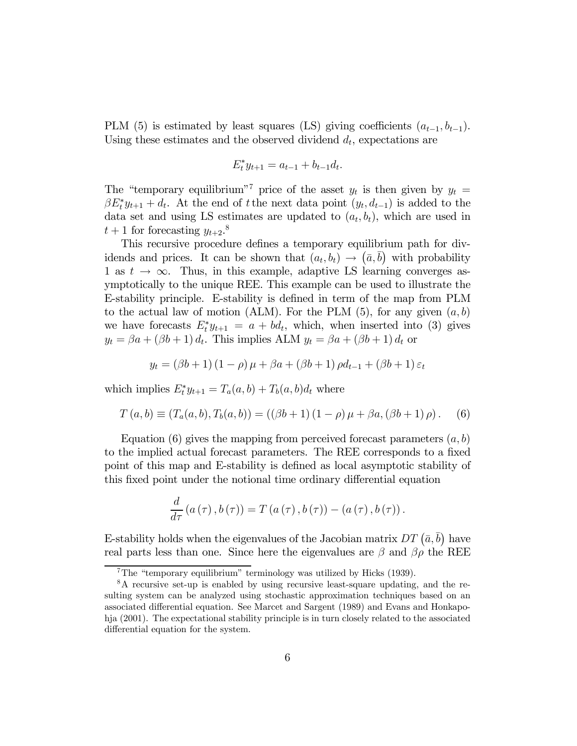PLM (5) is estimated by least squares (LS) giving coefficients  $(a_{t-1}, b_{t-1})$ . Using these estimates and the observed dividend  $d_t$ , expectations are

$$
E_t^* y_{t+1} = a_{t-1} + b_{t-1} d_t.
$$

The "temporary equilibrium"<sup>7</sup> price of the asset  $y_t$  is then given by  $y_t =$  $\beta E_t^* y_{t+1} + d_t$ . At the end of t the next data point  $(y_t, d_{t-1})$  is added to the data set and using LS estimates are updated to  $(a_t, b_t)$ , which are used in  $t+1$  for forecasting  $y_{t+2}.^8$ 

This recursive procedure defines a temporary equilibrium path for dividends and prices. It can be shown that  $(a_t, b_t) \rightarrow (\bar{a}, \bar{b})$  with probability 1 as  $t \to \infty$ . Thus, in this example, adaptive LS learning converges asymptotically to the unique REE. This example can be used to illustrate the E-stability principle. E-stability is defined in term of the map from PLM to the actual law of motion (ALM). For the PLM  $(5)$ , for any given  $(a, b)$ we have forecasts  $E_t^* y_{t+1} = a + b d_t$ , which, when inserted into (3) gives  $y_t = \beta a + (\beta b + 1) d_t$ . This implies ALM  $y_t = \beta a + (\beta b + 1) d_t$  or

$$
y_{t} = (\beta b + 1) (1 - \rho) \mu + \beta a + (\beta b + 1) \rho d_{t-1} + (\beta b + 1) \varepsilon_{t}
$$

which implies  $E_t^* y_{t+1} = T_a(a, b) + T_b(a, b)d_t$  where

$$
T(a,b) \equiv (T_a(a,b), T_b(a,b)) = ((\beta b + 1) (1 - \rho) \mu + \beta a, (\beta b + 1) \rho).
$$
 (6)

Equation (6) gives the mapping from perceived forecast parameters  $(a, b)$ to the implied actual forecast parameters. The REE corresponds to a fixed point of this map and E-stability is defined as local asymptotic stability of this fixed point under the notional time ordinary differential equation

$$
\frac{d}{d\tau}\left(a(\tau),b(\tau)\right)=T\left(a(\tau),b(\tau)\right)-\left(a(\tau),b(\tau)\right).
$$

E-stability holds when the eigenvalues of the Jacobian matrix  $DT\left(\bar{a},\bar{b}\right)$  have real parts less than one. Since here the eigenvalues are  $\beta$  and  $\beta \rho$  the REE

<sup>7</sup>The "temporary equilibrium" terminology was utilized by Hicks (1939).

<sup>8</sup>A recursive set-up is enabled by using recursive least-square updating, and the resulting system can be analyzed using stochastic approximation techniques based on an associated differential equation. See Marcet and Sargent (1989) and Evans and Honkapohja (2001). The expectational stability principle is in turn closely related to the associated differential equation for the system.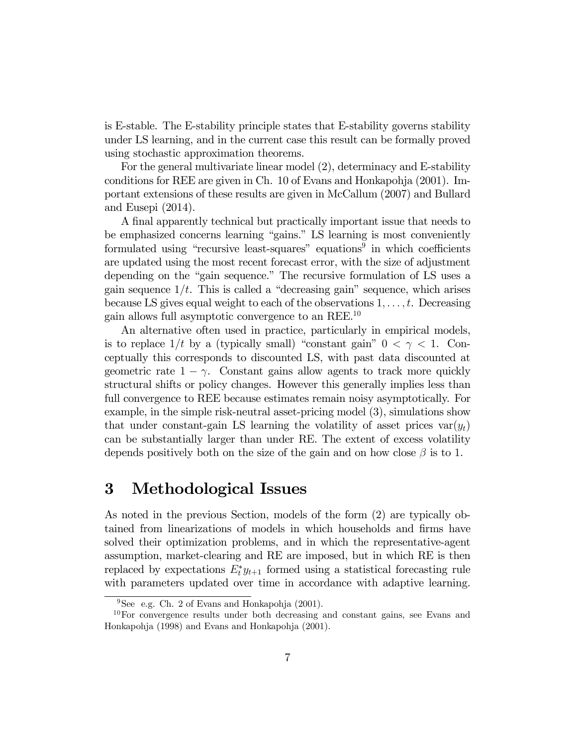is E-stable. The E-stability principle states that E-stability governs stability under LS learning, and in the current case this result can be formally proved using stochastic approximation theorems.

For the general multivariate linear model (2), determinacy and E-stability conditions for REE are given in Ch. 10 of Evans and Honkapohja (2001). Important extensions of these results are given in McCallum (2007) and Bullard and Eusepi (2014).

A final apparently technical but practically important issue that needs to be emphasized concerns learning "gains." LS learning is most conveniently formulated using "recursive least-squares" equations<sup> $\overline{9}$ </sup> in which coefficients are updated using the most recent forecast error, with the size of adjustment depending on the "gain sequence." The recursive formulation of LS uses a gain sequence  $1/t$ . This is called a "decreasing gain" sequence, which arises because LS gives equal weight to each of the observations  $1, \ldots, t$ . Decreasing gain allows full asymptotic convergence to an REE.10

An alternative often used in practice, particularly in empirical models, is to replace  $1/t$  by a (typically small) "constant gain"  $0 < \gamma < 1$ . Conceptually this corresponds to discounted LS, with past data discounted at geometric rate  $1 - \gamma$ . Constant gains allow agents to track more quickly structural shifts or policy changes. However this generally implies less than full convergence to REE because estimates remain noisy asymptotically. For example, in the simple risk-neutral asset-pricing model (3), simulations show that under constant-gain LS learning the volatility of asset prices  $var(y_t)$ can be substantially larger than under RE. The extent of excess volatility depends positively both on the size of the gain and on how close  $\beta$  is to 1.

## 3 Methodological Issues

As noted in the previous Section, models of the form (2) are typically obtained from linearizations of models in which households and firms have solved their optimization problems, and in which the representative-agent assumption, market-clearing and RE are imposed, but in which RE is then replaced by expectations  $E_t^* y_{t+1}$  formed using a statistical forecasting rule with parameters updated over time in accordance with adaptive learning.

 $9\text{See }$  e.g. Ch. 2 of Evans and Honkapohja (2001).

<sup>10</sup>For convergence results under both decreasing and constant gains, see Evans and Honkapohja (1998) and Evans and Honkapohja (2001).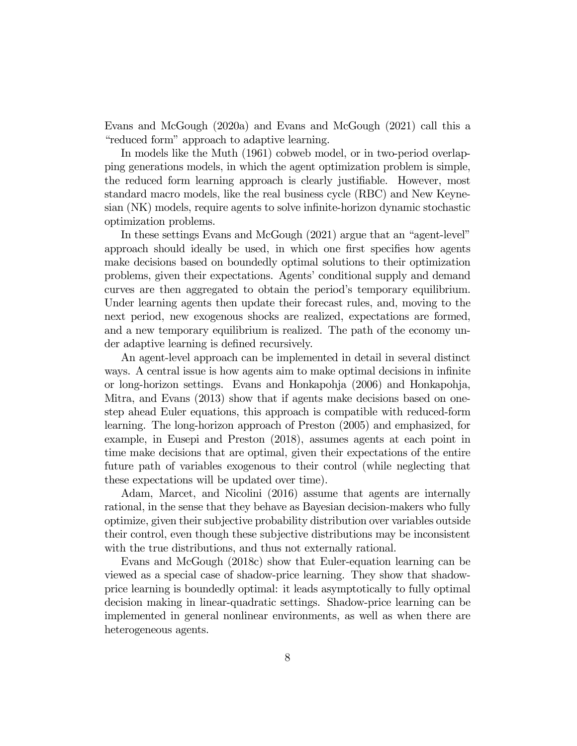Evans and McGough (2020a) and Evans and McGough (2021) call this a "reduced form" approach to adaptive learning.

In models like the Muth (1961) cobweb model, or in two-period overlapping generations models, in which the agent optimization problem is simple, the reduced form learning approach is clearly justifiable. However, most standard macro models, like the real business cycle (RBC) and New Keynesian (NK) models, require agents to solve infinite-horizon dynamic stochastic optimization problems.

In these settings Evans and McGough (2021) argue that an "agent-level" approach should ideally be used, in which one first specifies how agents make decisions based on boundedly optimal solutions to their optimization problems, given their expectations. Agents' conditional supply and demand curves are then aggregated to obtain the period's temporary equilibrium. Under learning agents then update their forecast rules, and, moving to the next period, new exogenous shocks are realized, expectations are formed, and a new temporary equilibrium is realized. The path of the economy under adaptive learning is defined recursively.

An agent-level approach can be implemented in detail in several distinct ways. A central issue is how agents aim to make optimal decisions in infinite or long-horizon settings. Evans and Honkapohja (2006) and Honkapohja, Mitra, and Evans (2013) show that if agents make decisions based on onestep ahead Euler equations, this approach is compatible with reduced-form learning. The long-horizon approach of Preston (2005) and emphasized, for example, in Eusepi and Preston (2018), assumes agents at each point in time make decisions that are optimal, given their expectations of the entire future path of variables exogenous to their control (while neglecting that these expectations will be updated over time).

Adam, Marcet, and Nicolini (2016) assume that agents are internally rational, in the sense that they behave as Bayesian decision-makers who fully optimize, given their subjective probability distribution over variables outside their control, even though these subjective distributions may be inconsistent with the true distributions, and thus not externally rational.

Evans and McGough (2018c) show that Euler-equation learning can be viewed as a special case of shadow-price learning. They show that shadowprice learning is boundedly optimal: it leads asymptotically to fully optimal decision making in linear-quadratic settings. Shadow-price learning can be implemented in general nonlinear environments, as well as when there are heterogeneous agents.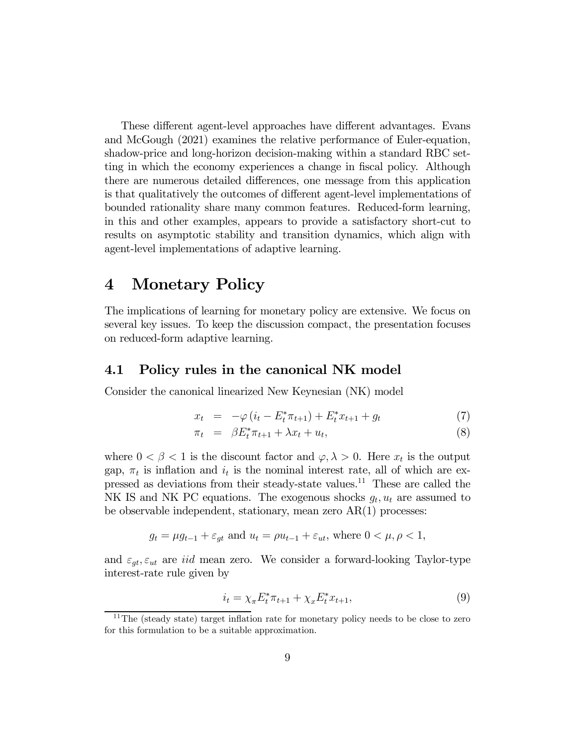These different agent-level approaches have different advantages. Evans and McGough (2021) examines the relative performance of Euler-equation, shadow-price and long-horizon decision-making within a standard RBC setting in which the economy experiences a change in fiscal policy. Although there are numerous detailed differences, one message from this application is that qualitatively the outcomes of different agent-level implementations of bounded rationality share many common features. Reduced-form learning, in this and other examples, appears to provide a satisfactory short-cut to results on asymptotic stability and transition dynamics, which align with agent-level implementations of adaptive learning.

### 4 Monetary Policy

The implications of learning for monetary policy are extensive. We focus on several key issues. To keep the discussion compact, the presentation focuses on reduced-form adaptive learning.

#### 4.1 Policy rules in the canonical NK model

Consider the canonical linearized New Keynesian (NK) model

$$
x_t = -\varphi(i_t - E_t^* \pi_{t+1}) + E_t^* x_{t+1} + g_t \tag{7}
$$

$$
\pi_t = \beta E_t^* \pi_{t+1} + \lambda x_t + u_t, \tag{8}
$$

where  $0 < \beta < 1$  is the discount factor and  $\varphi, \lambda > 0$ . Here  $x_t$  is the output gap,  $\pi_t$  is inflation and  $i_t$  is the nominal interest rate, all of which are expressed as deviations from their steady-state values.11 These are called the NK IS and NK PC equations. The exogenous shocks  $q_t, u_t$  are assumed to be observable independent, stationary, mean zero AR(1) processes:

$$
g_t = \mu g_{t-1} + \varepsilon_{gt}
$$
 and  $u_t = \rho u_{t-1} + \varepsilon_{ut}$ , where  $0 < \mu, \rho < 1$ ,

and  $\varepsilon_{qt}, \varepsilon_{ut}$  are *iid* mean zero. We consider a forward-looking Taylor-type interest-rate rule given by

$$
i_t = \chi_{\pi} E_t^* \pi_{t+1} + \chi_x E_t^* x_{t+1}, \tag{9}
$$

 $11$ The (steady state) target inflation rate for monetary policy needs to be close to zero for this formulation to be a suitable approximation.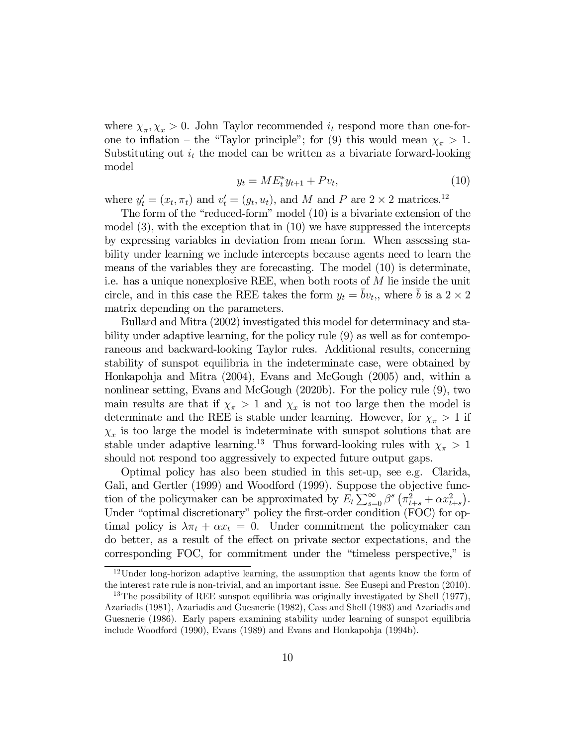where  $\chi_{\pi}, \chi_{x} > 0$ . John Taylor recommended  $i_t$  respond more than one-forone to inflation – the "Taylor principle"; for (9) this would mean  $\chi_{\pi} > 1$ . Substituting out  $i_t$  the model can be written as a bivariate forward-looking model

$$
y_t = ME_t^* y_{t+1} + Pv_t, \tag{10}
$$

where  $y'_t = (x_t, \pi_t)$  and  $v'_t = (g_t, u_t)$ , and M and P are  $2 \times 2$  matrices.<sup>12</sup>

The form of the "reduced-form" model (10) is a bivariate extension of the model (3), with the exception that in (10) we have suppressed the intercepts by expressing variables in deviation from mean form. When assessing stability under learning we include intercepts because agents need to learn the means of the variables they are forecasting. The model (10) is determinate, i.e. has a unique nonexplosive REE, when both roots of  $M$  lie inside the unit circle, and in this case the REE takes the form  $y_t = bv_t$ , where b is a  $2 \times 2$ matrix depending on the parameters.

Bullard and Mitra (2002) investigated this model for determinacy and stability under adaptive learning, for the policy rule (9) as well as for contemporaneous and backward-looking Taylor rules. Additional results, concerning stability of sunspot equilibria in the indeterminate case, were obtained by Honkapohja and Mitra (2004), Evans and McGough (2005) and, within a nonlinear setting, Evans and McGough (2020b). For the policy rule (9), two main results are that if  $\chi_{\pi} > 1$  and  $\chi_x$  is not too large then the model is determinate and the REE is stable under learning. However, for  $\chi_{\pi} > 1$  if  $\chi_x$  is too large the model is indeterminate with sunspot solutions that are stable under adaptive learning.<sup>13</sup> Thus forward-looking rules with  $\chi_{\pi} > 1$ should not respond too aggressively to expected future output gaps.

Optimal policy has also been studied in this set-up, see e.g. Clarida, Gali, and Gertler (1999) and Woodford (1999). Suppose the objective function of the policymaker can be approximated by  $E_t \sum_{s=0}^{\infty} \beta^s \left( \pi_{t+s}^2 + \alpha x_{t+s}^2 \right)$ . Under "optimal discretionary" policy the first-order condition (FOC) for optimal policy is  $\lambda \pi_t + \alpha x_t = 0$ . Under commitment the policymaker can do better, as a result of the effect on private sector expectations, and the corresponding FOC, for commitment under the "timeless perspective," is

<sup>12</sup>Under long-horizon adaptive learning, the assumption that agents know the form of the interest rate rule is non-trivial, and an important issue. See Eusepi and Preston (2010).

<sup>&</sup>lt;sup>13</sup>The possibility of REE sunspot equilibria was originally investigated by Shell (1977), Azariadis (1981), Azariadis and Guesnerie (1982), Cass and Shell (1983) and Azariadis and Guesnerie (1986). Early papers examining stability under learning of sunspot equilibria include Woodford (1990), Evans (1989) and Evans and Honkapohja (1994b).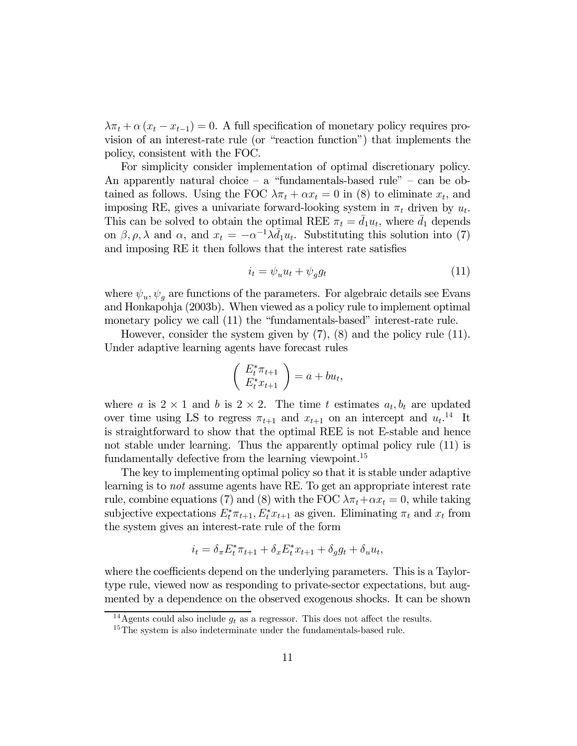$\lambda \pi_t + \alpha (x_t - x_{t-1}) = 0$ . A full specification of monetary policy requires provision of an interest-rate rule (or "reaction function") that implements the policy, consistent with the FOC.

For simplicity consider implementation of optimal discretionary policy. An apparently natural choice  $-$  a "fundamentals-based rule"  $-$  can be obtained as follows. Using the FOC  $\lambda \pi_t + \alpha x_t = 0$  in (8) to eliminate  $x_t$ , and imposing RE, gives a univariate forward-looking system in  $\pi_t$  driven by  $u_t$ . This can be solved to obtain the optimal REE  $\pi_t = \bar{d}_1 u_t$ , where  $\bar{d}_1$  depends on  $\beta$ ,  $\rho$ ,  $\lambda$  and  $\alpha$ , and  $x_t = -\alpha^{-1}\lambda \bar{d}_1 u_t$ . Substituting this solution into (7) and imposing RE it then follows that the interest rate satisfies

$$
i_t = \psi_u u_t + \psi_g g_t \tag{11}
$$

where  $\psi_u, \psi_a$  are functions of the parameters. For algebraic details see Evans and Honkapohja (2003b). When viewed as a policy rule to implement optimal monetary policy we call (11) the "fundamentals-based" interest-rate rule.

However, consider the system given by (7), (8) and the policy rule (11). Under adaptive learning agents have forecast rules

$$
\left(\begin{array}{c} E_t^* \pi_{t+1} \\ E_t^* x_{t+1} \end{array}\right) = a + bu_t,
$$

where a is  $2 \times 1$  and b is  $2 \times 2$ . The time t estimates  $a_t, b_t$  are updated over time using LS to regress  $\pi_{t+1}$  and  $x_{t+1}$  on an intercept and  $u_t$ <sup>14</sup> It is straightforward to show that the optimal REE is not E-stable and hence not stable under learning. Thus the apparently optimal policy rule (11) is fundamentally defective from the learning viewpoint.<sup>15</sup>

The key to implementing optimal policy so that it is stable under adaptive learning is to not assume agents have RE. To get an appropriate interest rate rule, combine equations (7) and (8) with the FOC  $\lambda \pi_t + \alpha x_t = 0$ , while taking subjective expectations  $E_t^* \pi_{t+1}, E_t^* x_{t+1}$  as given. Eliminating  $\pi_t$  and  $x_t$  from the system gives an interest-rate rule of the form

$$
i_t = \delta_\pi E_t^* \pi_{t+1} + \delta_x E_t^* x_{t+1} + \delta_g g_t + \delta_u u_t,
$$

where the coefficients depend on the underlying parameters. This is a Taylortype rule, viewed now as responding to private-sector expectations, but augmented by a dependence on the observed exogenous shocks. It can be shown

<sup>&</sup>lt;sup>14</sup> Agents could also include  $q_t$  as a regressor. This does not affect the results.

<sup>&</sup>lt;sup>15</sup>The system is also indeterminate under the fundamentals-based rule.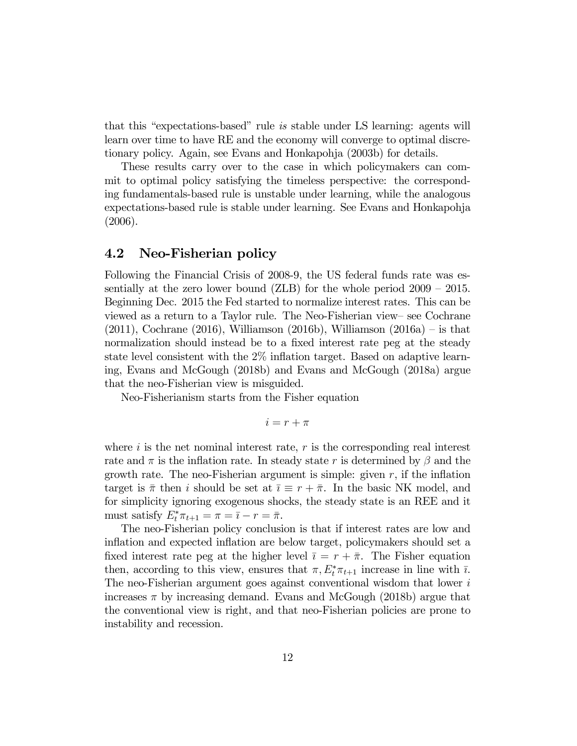that this "expectations-based" rule is stable under LS learning: agents will learn over time to have RE and the economy will converge to optimal discretionary policy. Again, see Evans and Honkapohja (2003b) for details.

These results carry over to the case in which policymakers can commit to optimal policy satisfying the timeless perspective: the corresponding fundamentals-based rule is unstable under learning, while the analogous expectations-based rule is stable under learning. See Evans and Honkapohja (2006).

#### 4.2 Neo-Fisherian policy

Following the Financial Crisis of 2008-9, the US federal funds rate was essentially at the zero lower bound (ZLB) for the whole period 2009 — 2015. Beginning Dec. 2015 the Fed started to normalize interest rates. This can be viewed as a return to a Taylor rule. The Neo-Fisherian view— see Cochrane (2011), Cochrane (2016), Williamson (2016b), Williamson (2016a) – is that normalization should instead be to a fixed interest rate peg at the steady state level consistent with the 2% inflation target. Based on adaptive learning, Evans and McGough (2018b) and Evans and McGough (2018a) argue that the neo-Fisherian view is misguided.

Neo-Fisherianism starts from the Fisher equation

$$
i = r + \pi
$$

where  $i$  is the net nominal interest rate,  $r$  is the corresponding real interest rate and  $\pi$  is the inflation rate. In steady state r is determined by  $\beta$  and the growth rate. The neo-Fisherian argument is simple: given  $r$ , if the inflation target is  $\bar{\pi}$  then *i* should be set at  $\bar{\imath} \equiv r + \bar{\pi}$ . In the basic NK model, and for simplicity ignoring exogenous shocks, the steady state is an REE and it must satisfy  $E_t^* \pi_{t+1} = \pi = \overline{i} - r = \overline{\pi}.$ 

The neo-Fisherian policy conclusion is that if interest rates are low and inflation and expected inflation are below target, policymakers should set a fixed interest rate peg at the higher level  $\bar{\imath} = r + \bar{\pi}$ . The Fisher equation then, according to this view, ensures that  $\pi$ ,  $E_t^* \pi_{t+1}$  increase in line with  $\bar{\imath}$ . The neo-Fisherian argument goes against conventional wisdom that lower i increases  $\pi$  by increasing demand. Evans and McGough (2018b) argue that the conventional view is right, and that neo-Fisherian policies are prone to instability and recession.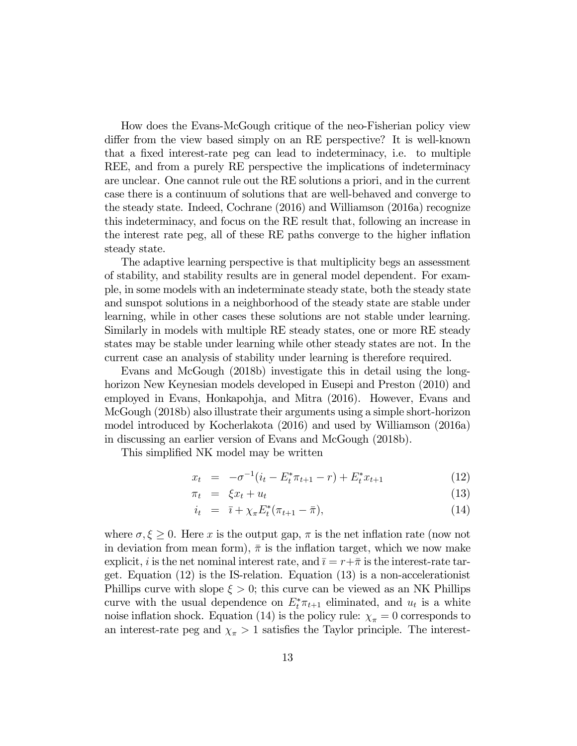How does the Evans-McGough critique of the neo-Fisherian policy view differ from the view based simply on an RE perspective? It is well-known that a fixed interest-rate peg can lead to indeterminacy, i.e. to multiple REE, and from a purely RE perspective the implications of indeterminacy are unclear. One cannot rule out the RE solutions a priori, and in the current case there is a continuum of solutions that are well-behaved and converge to the steady state. Indeed, Cochrane (2016) and Williamson (2016a) recognize this indeterminacy, and focus on the RE result that, following an increase in the interest rate peg, all of these RE paths converge to the higher inflation steady state.

The adaptive learning perspective is that multiplicity begs an assessment of stability, and stability results are in general model dependent. For example, in some models with an indeterminate steady state, both the steady state and sunspot solutions in a neighborhood of the steady state are stable under learning, while in other cases these solutions are not stable under learning. Similarly in models with multiple RE steady states, one or more RE steady states may be stable under learning while other steady states are not. In the current case an analysis of stability under learning is therefore required.

Evans and McGough (2018b) investigate this in detail using the longhorizon New Keynesian models developed in Eusepi and Preston (2010) and employed in Evans, Honkapohja, and Mitra (2016). However, Evans and McGough (2018b) also illustrate their arguments using a simple short-horizon model introduced by Kocherlakota (2016) and used by Williamson (2016a) in discussing an earlier version of Evans and McGough (2018b).

This simplified NK model may be written

$$
x_t = -\sigma^{-1}(i_t - E_t^* \pi_{t+1} - r) + E_t^* x_{t+1}
$$
\n(12)

$$
\pi_t = \xi x_t + u_t \tag{13}
$$

$$
i_t = \bar{i} + \chi_{\pi} E_t^* (\pi_{t+1} - \bar{\pi}), \tag{14}
$$

where  $\sigma, \xi \geq 0$ . Here x is the output gap,  $\pi$  is the net inflation rate (now not in deviation from mean form),  $\bar{\pi}$  is the inflation target, which we now make explicit, *i* is the net nominal interest rate, and  $\bar{i} = r + \bar{\pi}$  is the interest-rate target. Equation (12) is the IS-relation. Equation (13) is a non-accelerationist Phillips curve with slope  $\xi > 0$ ; this curve can be viewed as an NK Phillips curve with the usual dependence on  $E_t^* \pi_{t+1}$  eliminated, and  $u_t$  is a white noise inflation shock. Equation (14) is the policy rule:  $\chi_{\pi} = 0$  corresponds to an interest-rate peg and  $\chi_{\pi} > 1$  satisfies the Taylor principle. The interest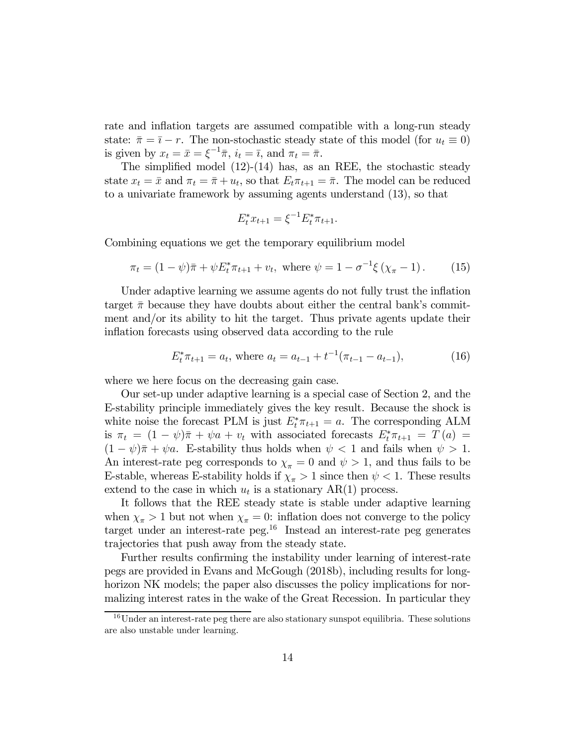rate and inflation targets are assumed compatible with a long-run steady state:  $\bar{\pi} = \bar{i} - r$ . The non-stochastic steady state of this model (for  $u_t \equiv 0$ ) is given by  $x_t = \bar{x} = \xi^{-1} \bar{\pi}, i_t = \bar{i}, \text{ and } \pi_t = \bar{\pi}.$ 

The simplified model  $(12)-(14)$  has, as an REE, the stochastic steady state  $x_t = \bar{x}$  and  $\pi_t = \bar{\pi} + u_t$ , so that  $E_t \pi_{t+1} = \bar{\pi}$ . The model can be reduced to a univariate framework by assuming agents understand (13), so that

$$
E_t^* x_{t+1} = \xi^{-1} E_t^* \pi_{t+1}.
$$

Combining equations we get the temporary equilibrium model

$$
\pi_t = (1 - \psi)\bar{\pi} + \psi E_t^* \pi_{t+1} + v_t, \text{ where } \psi = 1 - \sigma^{-1} \xi \left( \chi_{\pi} - 1 \right). \tag{15}
$$

Under adaptive learning we assume agents do not fully trust the inflation target  $\bar{\pi}$  because they have doubts about either the central bank's commitment and/or its ability to hit the target. Thus private agents update their inflation forecasts using observed data according to the rule

$$
E_t^* \pi_{t+1} = a_t, \text{ where } a_t = a_{t-1} + t^{-1}(\pi_{t-1} - a_{t-1}), \tag{16}
$$

where we here focus on the decreasing gain case.

Our set-up under adaptive learning is a special case of Section 2, and the E-stability principle immediately gives the key result. Because the shock is white noise the forecast PLM is just  $E_t^* \pi_{t+1} = a$ . The corresponding ALM is  $\pi_t = (1 - \psi)\bar{\pi} + \psi a + v_t$  with associated forecasts  $E_t^* \pi_{t+1} = T(a) =$  $(1 - \psi)\overline{\pi} + \psi a$ . E-stability thus holds when  $\psi$  < 1 and fails when  $\psi > 1$ . An interest-rate peg corresponds to  $\chi_{\pi} = 0$  and  $\psi > 1$ , and thus fails to be E-stable, whereas E-stability holds if  $\chi_{\pi} > 1$  since then  $\psi < 1$ . These results extend to the case in which  $u_t$  is a stationary AR(1) process.

It follows that the REE steady state is stable under adaptive learning when  $\chi_{\pi} > 1$  but not when  $\chi_{\pi} = 0$ : inflation does not converge to the policy target under an interest-rate peg.<sup>16</sup> Instead an interest-rate peg generates trajectories that push away from the steady state.

Further results confirming the instability under learning of interest-rate pegs are provided in Evans and McGough (2018b), including results for longhorizon NK models; the paper also discusses the policy implications for normalizing interest rates in the wake of the Great Recession. In particular they

 $16$ Under an interest-rate peg there are also stationary sunspot equilibria. These solutions are also unstable under learning.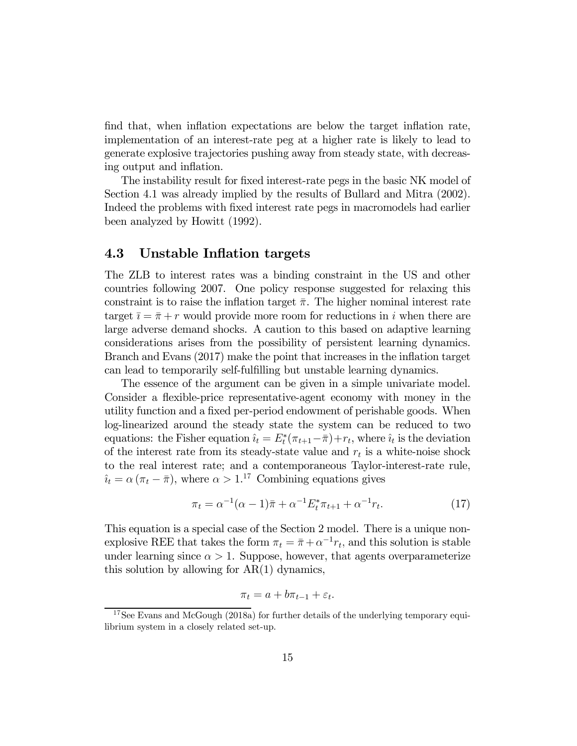find that, when inflation expectations are below the target inflation rate, implementation of an interest-rate peg at a higher rate is likely to lead to generate explosive trajectories pushing away from steady state, with decreasing output and inflation.

The instability result for fixed interest-rate pegs in the basic NK model of Section 4.1 was already implied by the results of Bullard and Mitra (2002). Indeed the problems with fixed interest rate pegs in macromodels had earlier been analyzed by Howitt (1992).

#### 4.3 Unstable Inflation targets

The ZLB to interest rates was a binding constraint in the US and other countries following 2007. One policy response suggested for relaxing this constraint is to raise the inflation target  $\bar{\pi}$ . The higher nominal interest rate target  $\bar{i} = \bar{\pi} + r$  would provide more room for reductions in i when there are large adverse demand shocks. A caution to this based on adaptive learning considerations arises from the possibility of persistent learning dynamics. Branch and Evans (2017) make the point that increases in the inflation target can lead to temporarily self-fulfilling but unstable learning dynamics.

The essence of the argument can be given in a simple univariate model. Consider a flexible-price representative-agent economy with money in the utility function and a fixed per-period endowment of perishable goods. When log-linearized around the steady state the system can be reduced to two equations: the Fisher equation  $\hat{i}_t = E_t^*(\pi_{t+1} - \bar{\pi}) + r_t$ , where  $\hat{i}_t$  is the deviation of the interest rate from its steady-state value and  $r_t$  is a white-noise shock to the real interest rate; and a contemporaneous Taylor-interest-rate rule,  $\hat{i}_t = \alpha (\pi_t - \bar{\pi}),$  where  $\alpha > 1$ .<sup>17</sup> Combining equations gives

$$
\pi_t = \alpha^{-1}(\alpha - 1)\bar{\pi} + \alpha^{-1} E_t^* \pi_{t+1} + \alpha^{-1} r_t.
$$
 (17)

This equation is a special case of the Section 2 model. There is a unique nonexplosive REE that takes the form  $\pi_t = \bar{\pi} + \alpha^{-1} r_t$ , and this solution is stable under learning since  $\alpha > 1$ . Suppose, however, that agents overparameterize this solution by allowing for  $AR(1)$  dynamics,

$$
\pi_t = a + b\pi_{t-1} + \varepsilon_t.
$$

<sup>&</sup>lt;sup>17</sup>See Evans and McGough (2018a) for further details of the underlying temporary equilibrium system in a closely related set-up.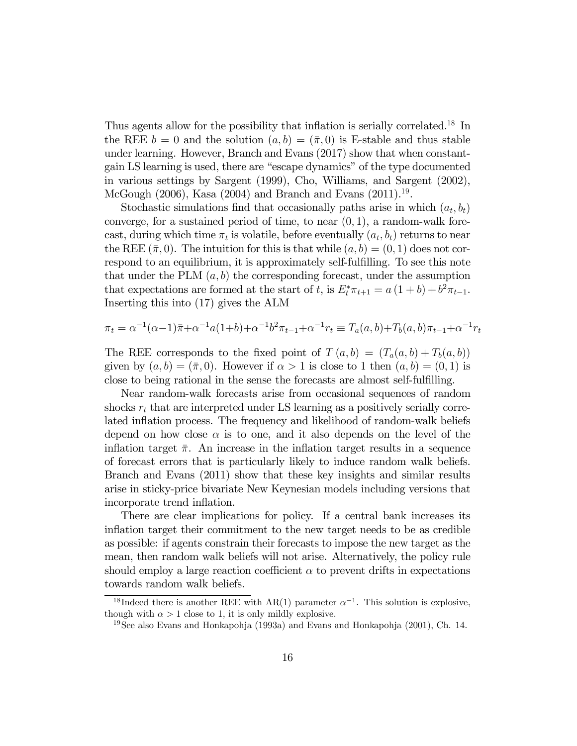Thus agents allow for the possibility that inflation is serially correlated.18 In the REE  $b = 0$  and the solution  $(a, b) = (\bar{\pi}, 0)$  is E-stable and thus stable under learning. However, Branch and Evans (2017) show that when constantgain LS learning is used, there are "escape dynamics" of the type documented in various settings by Sargent (1999), Cho, Williams, and Sargent (2002), McGough  $(2006)$ , Kasa  $(2004)$  and Branch and Evans  $(2011).<sup>19</sup>$ .

Stochastic simulations find that occasionally paths arise in which  $(a_t, b_t)$ converge, for a sustained period of time, to near  $(0,1)$ , a random-walk forecast, during which time  $\pi_t$  is volatile, before eventually  $(a_t, b_t)$  returns to near the REE  $(\bar{\pi}, 0)$ . The intuition for this is that while  $(a, b) = (0, 1)$  does not correspond to an equilibrium, it is approximately self-fulfilling. To see this note that under the PLM  $(a, b)$  the corresponding forecast, under the assumption that expectations are formed at the start of t, is  $E_t^* \pi_{t+1} = a(1+b) + b^2 \pi_{t-1}$ . Inserting this into (17) gives the ALM

$$
\pi_t = \alpha^{-1}(\alpha - 1)\bar{\pi} + \alpha^{-1}a(1+b) + \alpha^{-1}b^2\pi_{t-1} + \alpha^{-1}r_t \equiv T_a(a, b) + T_b(a, b)\pi_{t-1} + \alpha^{-1}r_t
$$

The REE corresponds to the fixed point of  $T(a, b) = (T_a(a, b) + T_b(a, b))$ given by  $(a, b) = (\bar{\pi}, 0)$ . However if  $\alpha > 1$  is close to 1 then  $(a, b) = (0, 1)$  is close to being rational in the sense the forecasts are almost self-fulfilling.

Near random-walk forecasts arise from occasional sequences of random shocks  $r_t$  that are interpreted under LS learning as a positively serially correlated inflation process. The frequency and likelihood of random-walk beliefs depend on how close  $\alpha$  is to one, and it also depends on the level of the inflation target  $\bar{\pi}$ . An increase in the inflation target results in a sequence of forecast errors that is particularly likely to induce random walk beliefs. Branch and Evans (2011) show that these key insights and similar results arise in sticky-price bivariate New Keynesian models including versions that incorporate trend inflation.

There are clear implications for policy. If a central bank increases its inflation target their commitment to the new target needs to be as credible as possible: if agents constrain their forecasts to impose the new target as the mean, then random walk beliefs will not arise. Alternatively, the policy rule should employ a large reaction coefficient  $\alpha$  to prevent drifts in expectations towards random walk beliefs.

<sup>&</sup>lt;sup>18</sup>Indeed there is another REE with AR(1) parameter  $\alpha^{-1}$ . This solution is explosive, though with  $\alpha > 1$  close to 1, it is only mildly explosive.

<sup>19</sup>See also Evans and Honkapohja (1993a) and Evans and Honkapohja (2001), Ch. 14.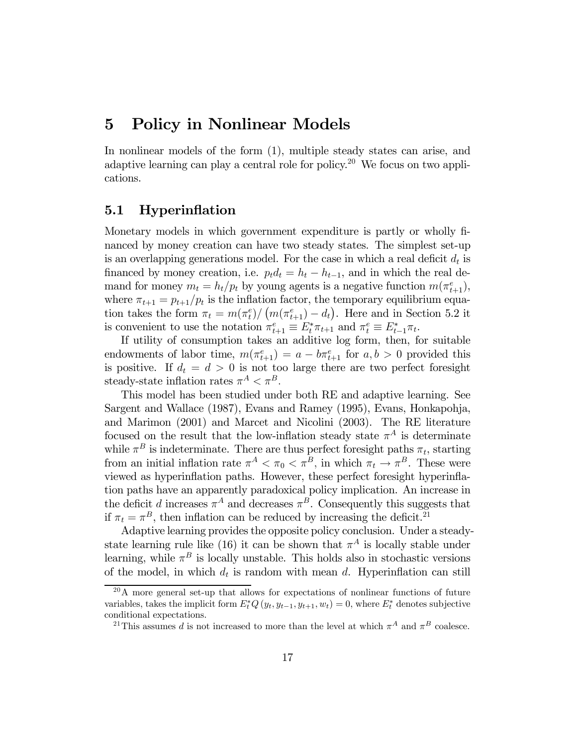### 5 Policy in Nonlinear Models

In nonlinear models of the form (1), multiple steady states can arise, and adaptive learning can play a central role for policy.20 We focus on two applications.

### 5.1 Hyperinflation

Monetary models in which government expenditure is partly or wholly financed by money creation can have two steady states. The simplest set-up is an overlapping generations model. For the case in which a real deficit  $d_t$  is financed by money creation, i.e.  $p_t d_t = h_t - h_{t-1}$ , and in which the real demand for money  $m_t = h_t/p_t$  by young agents is a negative function  $m(\pi_{t+1}^e)$ , where  $\pi_{t+1} = p_{t+1}/p_t$  is the inflation factor, the temporary equilibrium equation takes the form  $\pi_t = m(\pi_t^e) / (m(\pi_{t+1}^e) - d_t)$ . Here and in Section 5.2 it is convenient to use the notation  $\pi_{t+1}^e \equiv E_t^* \pi_{t+1}$  and  $\pi_t^e \equiv E_{t-1}^* \pi_{t+1}$ 

If utility of consumption takes an additive log form, then, for suitable endowments of labor time,  $m(\pi_{t+1}^e) = a - b\pi_{t+1}^e$  for  $a, b > 0$  provided this is positive. If  $d_t = d > 0$  is not too large there are two perfect foresight steady-state inflation rates  $\pi^A < \pi^B$ .

This model has been studied under both RE and adaptive learning. See Sargent and Wallace (1987), Evans and Ramey (1995), Evans, Honkapohja, and Marimon (2001) and Marcet and Nicolini (2003). The RE literature focused on the result that the low-inflation steady state  $\pi^A$  is determinate while  $\pi^B$  is indeterminate. There are thus perfect foresight paths  $\pi_t$ , starting from an initial inflation rate  $\pi^A < \pi_0 < \pi^B$ , in which  $\pi_t \to \pi^B$ . These were viewed as hyperinflation paths. However, these perfect foresight hyperinflation paths have an apparently paradoxical policy implication. An increase in the deficit d increases  $\pi^{A}$  and decreases  $\pi^{B}$ . Consequently this suggests that if  $\pi_t = \pi^B$ , then inflation can be reduced by increasing the deficit.<sup>21</sup>

Adaptive learning provides the opposite policy conclusion. Under a steadystate learning rule like (16) it can be shown that  $\pi^{A}$  is locally stable under learning, while  $\pi^B$  is locally unstable. This holds also in stochastic versions of the model, in which  $d_t$  is random with mean d. Hyperinflation can still

<sup>20</sup>A more general set-up that allows for expectations of nonlinear functions of future variables, takes the implicit form  $E_t^*Q(y_t, y_{t-1}, y_{t+1}, w_t) = 0$ , where  $E_t^*$  denotes subjective conditional expectations.

<sup>&</sup>lt;sup>21</sup>This assumes *d* is not increased to more than the level at which  $\pi^A$  and  $\pi^B$  coalesce.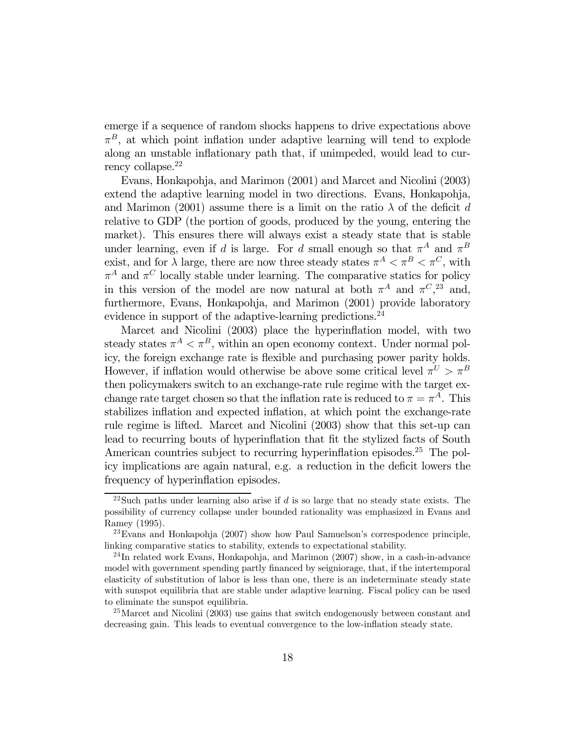emerge if a sequence of random shocks happens to drive expectations above  $\pi^B$ , at which point inflation under adaptive learning will tend to explode along an unstable inflationary path that, if unimpeded, would lead to currency collapse.<sup>22</sup>

Evans, Honkapohja, and Marimon (2001) and Marcet and Nicolini (2003) extend the adaptive learning model in two directions. Evans, Honkapohja, and Marimon (2001) assume there is a limit on the ratio  $\lambda$  of the deficit d relative to GDP (the portion of goods, produced by the young, entering the market). This ensures there will always exist a steady state that is stable under learning, even if d is large. For d small enough so that  $\pi^A$  and  $\pi^B$ exist, and for  $\lambda$  large, there are now three steady states  $\pi^A < \pi^B < \pi^C$ , with  $\pi^A$  and  $\pi^C$  locally stable under learning. The comparative statics for policy in this version of the model are now natural at both  $\pi^A$  and  $\pi^C$ <sup>3</sup>, and, furthermore, Evans, Honkapohja, and Marimon (2001) provide laboratory evidence in support of the adaptive-learning predictions.<sup>24</sup>

Marcet and Nicolini (2003) place the hyperinflation model, with two steady states  $\pi^A < \pi^B$ , within an open economy context. Under normal policy, the foreign exchange rate is flexible and purchasing power parity holds. However, if inflation would otherwise be above some critical level  $\pi^U > \pi^B$ then policymakers switch to an exchange-rate rule regime with the target exchange rate target chosen so that the inflation rate is reduced to  $\pi = \pi^A$ . This stabilizes inflation and expected inflation, at which point the exchange-rate rule regime is lifted. Marcet and Nicolini (2003) show that this set-up can lead to recurring bouts of hyperinflation that fit the stylized facts of South American countries subject to recurring hyperinflation episodes.<sup>25</sup> The policy implications are again natural, e.g. a reduction in the deficit lowers the frequency of hyperinflation episodes.

<sup>&</sup>lt;sup>22</sup>Such paths under learning also arise if  $d$  is so large that no steady state exists. The possibility of currency collapse under bounded rationality was emphasized in Evans and Ramey (1995).

 $^{23}$ Evans and Honkapohja (2007) show how Paul Samuelson's correspodence principle, linking comparative statics to stability, extends to expectational stability.

 $^{24}$ In related work Evans, Honkapohja, and Marimon (2007) show, in a cash-in-advance model with government spending partly financed by seigniorage, that, if the intertemporal elasticity of substitution of labor is less than one, there is an indeterminate steady state with sunspot equilibria that are stable under adaptive learning. Fiscal policy can be used to eliminate the sunspot equilibria.

<sup>&</sup>lt;sup>25</sup>Marcet and Nicolini (2003) use gains that switch endogenously between constant and decreasing gain. This leads to eventual convergence to the low-inflation steady state.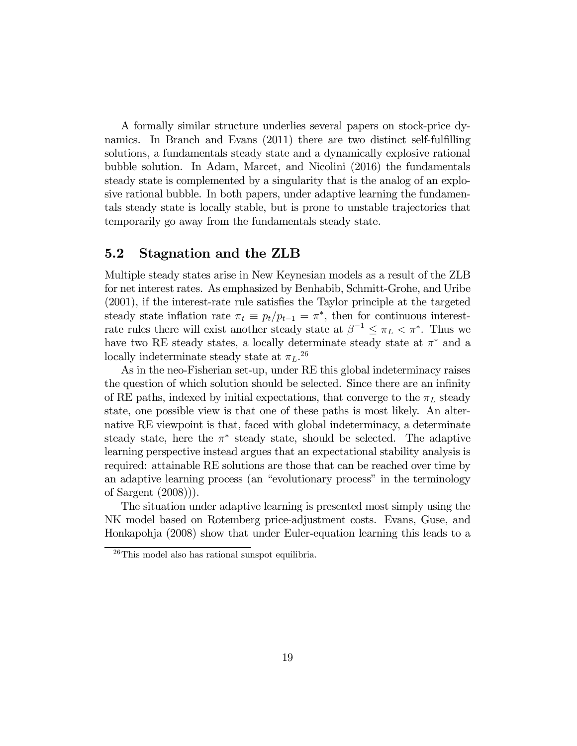A formally similar structure underlies several papers on stock-price dynamics. In Branch and Evans (2011) there are two distinct self-fulfilling solutions, a fundamentals steady state and a dynamically explosive rational bubble solution. In Adam, Marcet, and Nicolini (2016) the fundamentals steady state is complemented by a singularity that is the analog of an explosive rational bubble. In both papers, under adaptive learning the fundamentals steady state is locally stable, but is prone to unstable trajectories that temporarily go away from the fundamentals steady state.

#### 5.2 Stagnation and the ZLB

Multiple steady states arise in New Keynesian models as a result of the ZLB for net interest rates. As emphasized by Benhabib, Schmitt-Grohe, and Uribe (2001), if the interest-rate rule satisfies the Taylor principle at the targeted steady state inflation rate  $\pi_t \equiv p_t/p_{t-1} = \pi^*$ , then for continuous interestrate rules there will exist another steady state at  $\beta^{-1} \leq \pi_L < \pi^*$ . Thus we have two RE steady states, a locally determinate steady state at  $\pi^*$  and a locally indeterminate steady state at  $\pi_L$ .<sup>26</sup>

As in the neo-Fisherian set-up, under RE this global indeterminacy raises the question of which solution should be selected. Since there are an infinity of RE paths, indexed by initial expectations, that converge to the  $\pi_L$  steady state, one possible view is that one of these paths is most likely. An alternative RE viewpoint is that, faced with global indeterminacy, a determinate steady state, here the  $\pi^*$  steady state, should be selected. The adaptive learning perspective instead argues that an expectational stability analysis is required: attainable RE solutions are those that can be reached over time by an adaptive learning process (an "evolutionary process" in the terminology of Sargent (2008))).

The situation under adaptive learning is presented most simply using the NK model based on Rotemberg price-adjustment costs. Evans, Guse, and Honkapohja (2008) show that under Euler-equation learning this leads to a

<sup>26</sup>This model also has rational sunspot equilibria.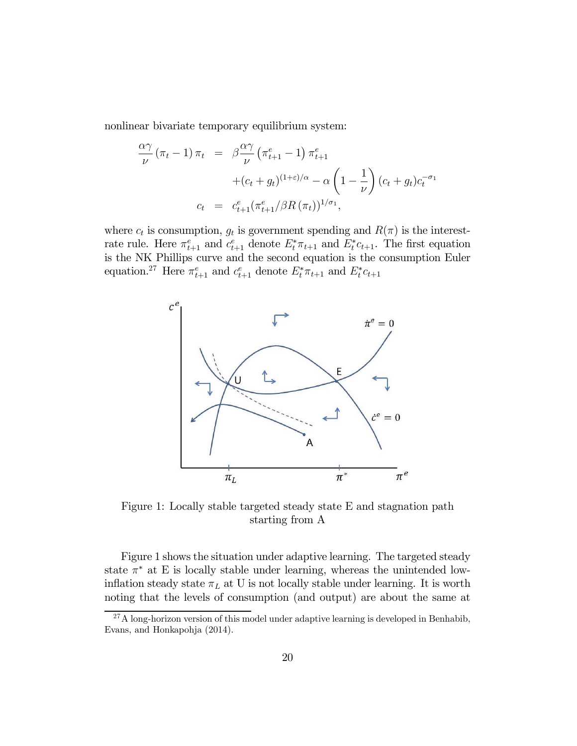nonlinear bivariate temporary equilibrium system:

$$
\frac{\alpha \gamma}{\nu} (\pi_t - 1) \pi_t = \beta \frac{\alpha \gamma}{\nu} (\pi_{t+1}^e - 1) \pi_{t+1}^e + (c_t + g_t)^{(1+\varepsilon)/\alpha} - \alpha \left( 1 - \frac{1}{\nu} \right) (c_t + g_t) c_t^{-\sigma_1} c_t = c_{t+1}^e (\pi_{t+1}^e / \beta R (\pi_t))^{1/\sigma_1},
$$

where  $c_t$  is consumption,  $g_t$  is government spending and  $R(\pi)$  is the interestrate rule. Here  $\pi_{t+1}^e$  and  $c_{t+1}^e$  denote  $E_t^*\pi_{t+1}$  and  $E_t^*c_{t+1}$ . The first equation is the NK Phillips curve and the second equation is the consumption Euler equation.<sup>27</sup> Here  $\pi_{t+1}^e$  and  $c_{t+1}^e$  denote  $E_t^*\pi_{t+1}$  and  $E_t^*c_{t+1}$ 



Figure 1: Locally stable targeted steady state E and stagnation path starting from A

Figure 1 shows the situation under adaptive learning. The targeted steady state  $\pi^*$  at E is locally stable under learning, whereas the unintended lowinflation steady state  $\pi_L$  at U is not locally stable under learning. It is worth noting that the levels of consumption (and output) are about the same at

 $27A$  long-horizon version of this model under adaptive learning is developed in Benhabib, Evans, and Honkapohja (2014).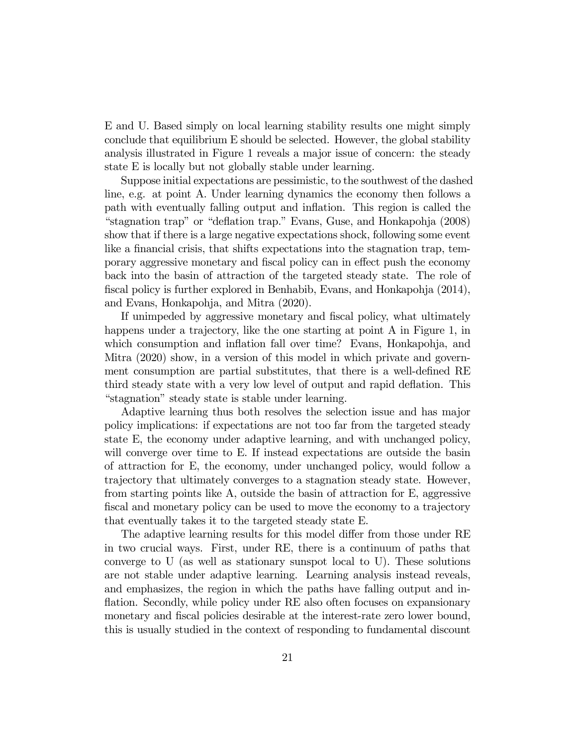E and U. Based simply on local learning stability results one might simply conclude that equilibrium E should be selected. However, the global stability analysis illustrated in Figure 1 reveals a major issue of concern: the steady state E is locally but not globally stable under learning.

Suppose initial expectations are pessimistic, to the southwest of the dashed line, e.g. at point A. Under learning dynamics the economy then follows a path with eventually falling output and inflation. This region is called the "stagnation trap" or "deflation trap." Evans, Guse, and Honkapohja (2008) show that if there is a large negative expectations shock, following some event like a financial crisis, that shifts expectations into the stagnation trap, temporary aggressive monetary and fiscal policy can in effect push the economy back into the basin of attraction of the targeted steady state. The role of fiscal policy is further explored in Benhabib, Evans, and Honkapohja (2014), and Evans, Honkapohja, and Mitra (2020).

If unimpeded by aggressive monetary and fiscal policy, what ultimately happens under a trajectory, like the one starting at point A in Figure 1, in which consumption and inflation fall over time? Evans, Honkapohja, and Mitra (2020) show, in a version of this model in which private and government consumption are partial substitutes, that there is a well-defined RE third steady state with a very low level of output and rapid deflation. This "stagnation" steady state is stable under learning.

Adaptive learning thus both resolves the selection issue and has major policy implications: if expectations are not too far from the targeted steady state E, the economy under adaptive learning, and with unchanged policy, will converge over time to E. If instead expectations are outside the basin of attraction for E, the economy, under unchanged policy, would follow a trajectory that ultimately converges to a stagnation steady state. However, from starting points like A, outside the basin of attraction for E, aggressive fiscal and monetary policy can be used to move the economy to a trajectory that eventually takes it to the targeted steady state E.

The adaptive learning results for this model differ from those under RE in two crucial ways. First, under RE, there is a continuum of paths that converge to U (as well as stationary sunspot local to U). These solutions are not stable under adaptive learning. Learning analysis instead reveals, and emphasizes, the region in which the paths have falling output and inflation. Secondly, while policy under RE also often focuses on expansionary monetary and fiscal policies desirable at the interest-rate zero lower bound, this is usually studied in the context of responding to fundamental discount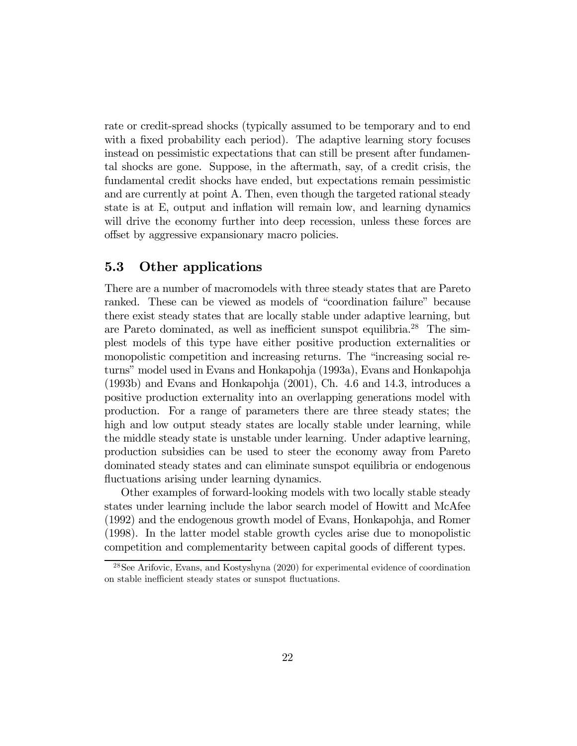rate or credit-spread shocks (typically assumed to be temporary and to end with a fixed probability each period). The adaptive learning story focuses instead on pessimistic expectations that can still be present after fundamental shocks are gone. Suppose, in the aftermath, say, of a credit crisis, the fundamental credit shocks have ended, but expectations remain pessimistic and are currently at point A. Then, even though the targeted rational steady state is at E, output and inflation will remain low, and learning dynamics will drive the economy further into deep recession, unless these forces are offset by aggressive expansionary macro policies.

#### 5.3 Other applications

There are a number of macromodels with three steady states that are Pareto ranked. These can be viewed as models of "coordination failure" because there exist steady states that are locally stable under adaptive learning, but are Pareto dominated, as well as inefficient sunspot equilibria.28 The simplest models of this type have either positive production externalities or monopolistic competition and increasing returns. The "increasing social returns" model used in Evans and Honkapohja (1993a), Evans and Honkapohja (1993b) and Evans and Honkapohja (2001), Ch. 4.6 and 14.3, introduces a positive production externality into an overlapping generations model with production. For a range of parameters there are three steady states; the high and low output steady states are locally stable under learning, while the middle steady state is unstable under learning. Under adaptive learning, production subsidies can be used to steer the economy away from Pareto dominated steady states and can eliminate sunspot equilibria or endogenous fluctuations arising under learning dynamics.

Other examples of forward-looking models with two locally stable steady states under learning include the labor search model of Howitt and McAfee (1992) and the endogenous growth model of Evans, Honkapohja, and Romer (1998). In the latter model stable growth cycles arise due to monopolistic competition and complementarity between capital goods of different types.

<sup>28</sup>See Arifovic, Evans, and Kostyshyna (2020) for experimental evidence of coordination on stable inefficient steady states or sunspot fluctuations.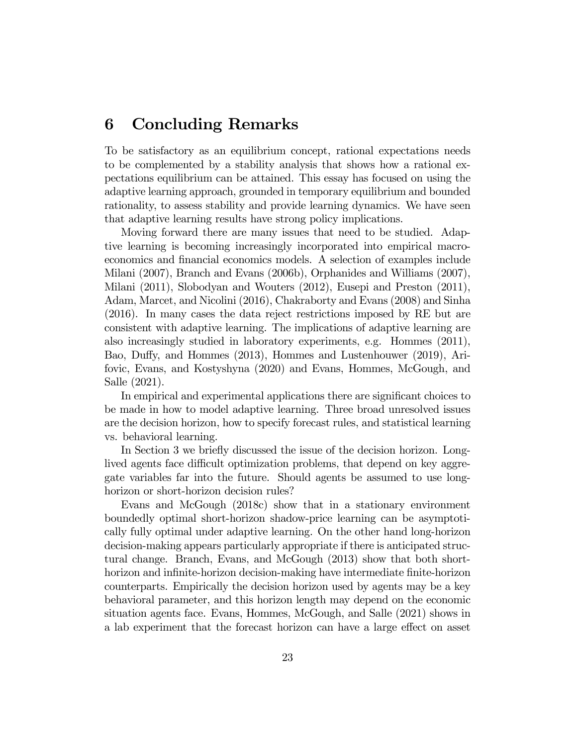### 6 Concluding Remarks

To be satisfactory as an equilibrium concept, rational expectations needs to be complemented by a stability analysis that shows how a rational expectations equilibrium can be attained. This essay has focused on using the adaptive learning approach, grounded in temporary equilibrium and bounded rationality, to assess stability and provide learning dynamics. We have seen that adaptive learning results have strong policy implications.

Moving forward there are many issues that need to be studied. Adaptive learning is becoming increasingly incorporated into empirical macroeconomics and financial economics models. A selection of examples include Milani (2007), Branch and Evans (2006b), Orphanides and Williams (2007), Milani (2011), Slobodyan and Wouters (2012), Eusepi and Preston (2011), Adam, Marcet, and Nicolini (2016), Chakraborty and Evans (2008) and Sinha (2016). In many cases the data reject restrictions imposed by RE but are consistent with adaptive learning. The implications of adaptive learning are also increasingly studied in laboratory experiments, e.g. Hommes (2011), Bao, Duffy, and Hommes (2013), Hommes and Lustenhouwer (2019), Arifovic, Evans, and Kostyshyna (2020) and Evans, Hommes, McGough, and Salle (2021).

In empirical and experimental applications there are significant choices to be made in how to model adaptive learning. Three broad unresolved issues are the decision horizon, how to specify forecast rules, and statistical learning vs. behavioral learning.

In Section 3 we briefly discussed the issue of the decision horizon. Longlived agents face difficult optimization problems, that depend on key aggregate variables far into the future. Should agents be assumed to use longhorizon or short-horizon decision rules?

Evans and McGough (2018c) show that in a stationary environment boundedly optimal short-horizon shadow-price learning can be asymptotically fully optimal under adaptive learning. On the other hand long-horizon decision-making appears particularly appropriate if there is anticipated structural change. Branch, Evans, and McGough (2013) show that both shorthorizon and infinite-horizon decision-making have intermediate finite-horizon counterparts. Empirically the decision horizon used by agents may be a key behavioral parameter, and this horizon length may depend on the economic situation agents face. Evans, Hommes, McGough, and Salle (2021) shows in a lab experiment that the forecast horizon can have a large effect on asset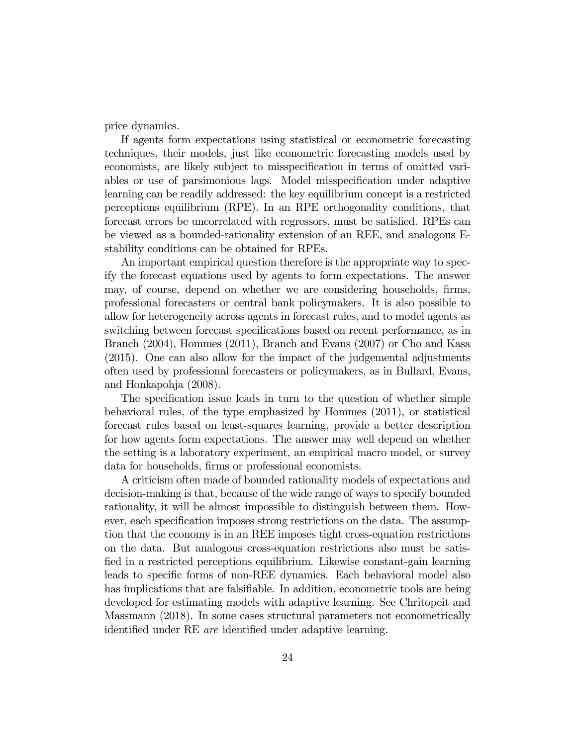price dynamics.

If agents form expectations using statistical or econometric forecasting techniques, their models, just like econometric forecasting models used by economists, are likely subject to misspecification in terms of omitted variables or use of parsimonious lags. Model misspecification under adaptive learning can be readily addressed: the key equilibrium concept is a restricted perceptions equilibrium (RPE). In an RPE orthogonality conditions, that forecast errors be uncorrelated with regressors, must be satisfied. RPEs can be viewed as a bounded-rationality extension of an REE, and analogous Estability conditions can be obtained for RPEs.

An important empirical question therefore is the appropriate way to specify the forecast equations used by agents to form expectations. The answer may, of course, depend on whether we are considering households, firms, professional forecasters or central bank policymakers. It is also possible to allow for heterogeneity across agents in forecast rules, and to model agents as switching between forecast specifications based on recent performance, as in Branch (2004), Hommes (2011), Branch and Evans (2007) or Cho and Kasa (2015). One can also allow for the impact of the judgemental adjustments often used by professional forecasters or policymakers, as in Bullard, Evans, and Honkapohja (2008).

The specification issue leads in turn to the question of whether simple behavioral rules, of the type emphasized by Hommes (2011), or statistical forecast rules based on least-squares learning, provide a better description for how agents form expectations. The answer may well depend on whether the setting is a laboratory experiment, an empirical macro model, or survey data for households, firms or professional economists.

A criticism often made of bounded rationality models of expectations and decision-making is that, because of the wide range of ways to specify bounded rationality, it will be almost impossible to distinguish between them. However, each specification imposes strong restrictions on the data. The assumption that the economy is in an REE imposes tight cross-equation restrictions on the data. But analogous cross-equation restrictions also must be satisfied in a restricted perceptions equilibrium. Likewise constant-gain learning leads to specific forms of non-REE dynamics. Each behavioral model also has implications that are falsifiable. In addition, econometric tools are being developed for estimating models with adaptive learning. See Chritopeit and Massmann (2018). In some cases structural parameters not econometrically identified under RE are identified under adaptive learning.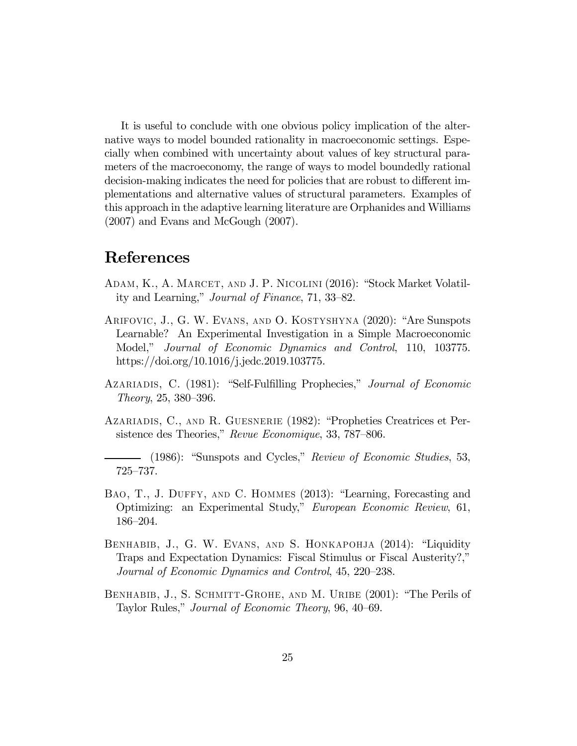It is useful to conclude with one obvious policy implication of the alternative ways to model bounded rationality in macroeconomic settings. Especially when combined with uncertainty about values of key structural parameters of the macroeconomy, the range of ways to model boundedly rational decision-making indicates the need for policies that are robust to different implementations and alternative values of structural parameters. Examples of this approach in the adaptive learning literature are Orphanides and Williams (2007) and Evans and McGough (2007).

### References

- Adam, K., A. Marcet, and J. P. Nicolini (2016): "Stock Market Volatility and Learning," Journal of Finance, 71, 33—82.
- Arifovic, J., G. W. Evans, and O. Kostyshyna (2020): "Are Sunspots Learnable? An Experimental Investigation in a Simple Macroeconomic Model," Journal of Economic Dynamics and Control, 110, 103775. https://doi.org/10.1016/j.jedc.2019.103775.
- Azariadis, C. (1981): "Self-Fulfilling Prophecies," Journal of Economic Theory, 25, 380—396.
- Azariadis, C., and R. Guesnerie (1982): "Propheties Creatrices et Persistence des Theories," Revue Economique, 33, 787—806.

(1986): "Sunspots and Cycles," Review of Economic Studies, 53, 725—737.

- Bao, T., J. Duffy, and C. Hommes (2013): "Learning, Forecasting and Optimizing: an Experimental Study," European Economic Review, 61, 186—204.
- Benhabib, J., G. W. Evans, and S. Honkapohja (2014): "Liquidity Traps and Expectation Dynamics: Fiscal Stimulus or Fiscal Austerity?," Journal of Economic Dynamics and Control, 45, 220—238.
- BENHABIB, J., S. SCHMITT-GROHE, AND M. URIBE (2001): "The Perils of Taylor Rules," Journal of Economic Theory, 96, 40—69.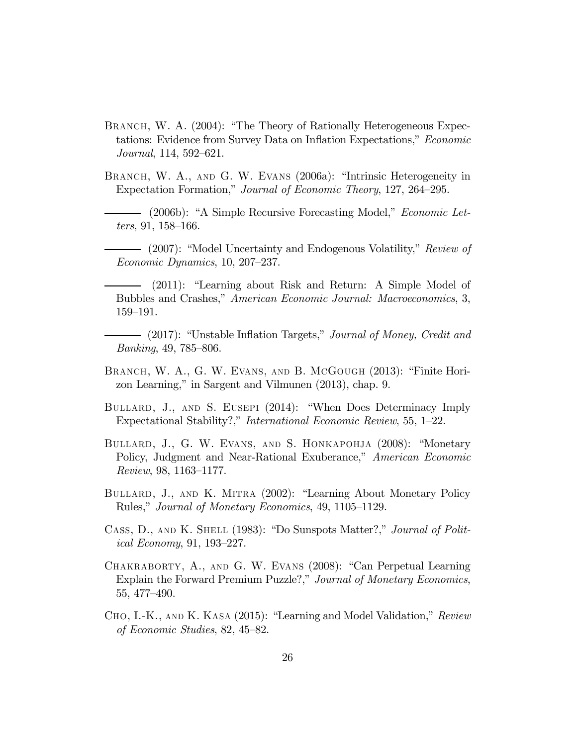- BRANCH, W. A. (2004): "The Theory of Rationally Heterogeneous Expectations: Evidence from Survey Data on Inflation Expectations," Economic Journal, 114, 592—621.
- BRANCH, W. A., AND G. W. EVANS (2006a): "Intrinsic Heterogeneity in Expectation Formation," Journal of Economic Theory, 127, 264—295.
	- (2006b): "A Simple Recursive Forecasting Model," *Economic Let*ters, 91, 158—166.
- (2007): "Model Uncertainty and Endogenous Volatility," Review of Economic Dynamics, 10, 207—237.
- (2011): "Learning about Risk and Return: A Simple Model of Bubbles and Crashes," American Economic Journal: Macroeconomics, 3, 159—191.
- (2017): "Unstable Inflation Targets," Journal of Money, Credit and Banking, 49, 785—806.
- BRANCH, W. A., G. W. EVANS, AND B. McGOUGH (2013): "Finite Horizon Learning," in Sargent and Vilmunen (2013), chap. 9.
- Bullard, J., and S. Eusepi (2014): "When Does Determinacy Imply Expectational Stability?," International Economic Review, 55, 1—22.
- BULLARD, J., G. W. EVANS, AND S. HONKAPOHJA (2008): "Monetary Policy, Judgment and Near-Rational Exuberance," American Economic Review, 98, 1163—1177.
- Bullard, J., and K. Mitra (2002): "Learning About Monetary Policy Rules," Journal of Monetary Economics, 49, 1105—1129.
- CASS, D., AND K. SHELL (1983): "Do Sunspots Matter?," Journal of Political Economy, 91, 193—227.
- Chakraborty, A., and G. W. Evans (2008): "Can Perpetual Learning Explain the Forward Premium Puzzle?," Journal of Monetary Economics, 55, 477—490.
- Cho, I.-K., and K. Kasa (2015): "Learning and Model Validation," Review of Economic Studies, 82, 45—82.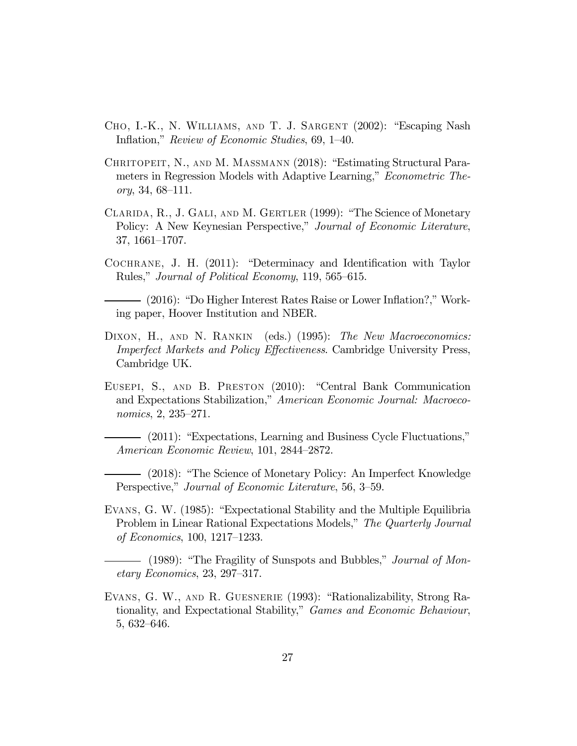- Cho, I.-K., N. Williams, and T. J. Sargent (2002): "Escaping Nash Inflation," Review of Economic Studies, 69, 1—40.
- Chritopeit, N., and M. Massmann (2018): "Estimating Structural Parameters in Regression Models with Adaptive Learning," Econometric Theory, 34, 68—111.
- Clarida, R., J. Gali, and M. Gertler (1999): "The Science of Monetary Policy: A New Keynesian Perspective," Journal of Economic Literature, 37, 1661—1707.
- Cochrane, J. H. (2011): "Determinacy and Identification with Taylor Rules," Journal of Political Economy, 119, 565—615.
- (2016): "Do Higher Interest Rates Raise or Lower Inflation?," Working paper, Hoover Institution and NBER.
- DIXON, H., AND N. RANKIN (eds.) (1995): The New Macroeconomics: Imperfect Markets and Policy Effectiveness. Cambridge University Press, Cambridge UK.
- Eusepi, S., and B. Preston (2010): "Central Bank Communication and Expectations Stabilization," American Economic Journal: Macroeconomics, 2, 235—271.
- (2011): "Expectations, Learning and Business Cycle Fluctuations," American Economic Review, 101, 2844—2872.
- (2018): "The Science of Monetary Policy: An Imperfect Knowledge Perspective," Journal of Economic Literature, 56, 3—59.
- Evans, G. W. (1985): "Expectational Stability and the Multiple Equilibria Problem in Linear Rational Expectations Models," The Quarterly Journal of Economics, 100, 1217—1233.
- (1989): "The Fragility of Sunspots and Bubbles," Journal of Monetary Economics, 23, 297—317.
- Evans, G. W., and R. Guesnerie (1993): "Rationalizability, Strong Rationality, and Expectational Stability," Games and Economic Behaviour, 5, 632—646.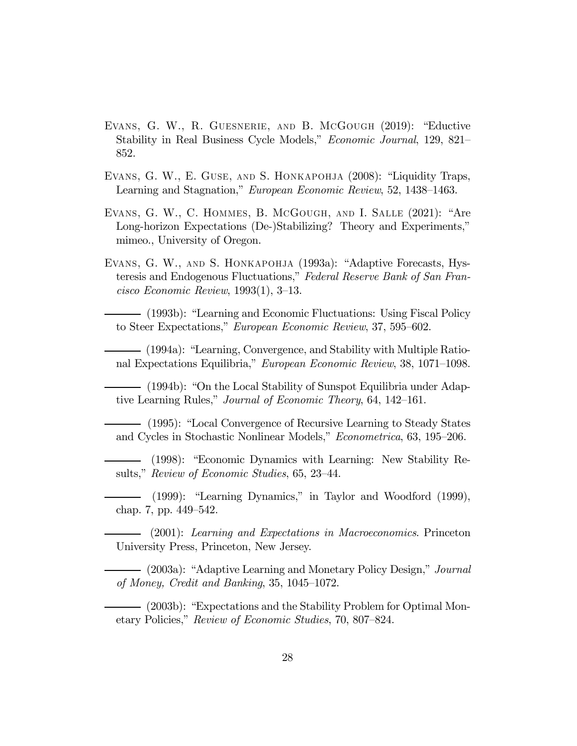- Evans, G. W., R. Guesnerie, and B. McGough (2019): "Eductive Stability in Real Business Cycle Models," Economic Journal, 129, 821— 852.
- Evans, G. W., E. Guse, and S. Honkapohja (2008): "Liquidity Traps, Learning and Stagnation," European Economic Review, 52, 1438—1463.
- Evans, G. W., C. Hommes, B. McGough, and I. Salle (2021): "Are Long-horizon Expectations (De-)Stabilizing? Theory and Experiments," mimeo., University of Oregon.
- Evans, G. W., and S. Honkapohja (1993a): "Adaptive Forecasts, Hysteresis and Endogenous Fluctuations," Federal Reserve Bank of San Francisco Economic Review, 1993(1), 3—13.

(1993b): "Learning and Economic Fluctuations: Using Fiscal Policy to Steer Expectations," European Economic Review, 37, 595—602.

(1994a): "Learning, Convergence, and Stability with Multiple Rational Expectations Equilibria," European Economic Review, 38, 1071—1098.

(1994b): "On the Local Stability of Sunspot Equilibria under Adaptive Learning Rules," Journal of Economic Theory, 64, 142—161.

(1995): "Local Convergence of Recursive Learning to Steady States and Cycles in Stochastic Nonlinear Models," Econometrica, 63, 195—206.

(1998): "Economic Dynamics with Learning: New Stability Results," Review of Economic Studies, 65, 23—44.

(1999): "Learning Dynamics," in Taylor and Woodford (1999), chap. 7, pp. 449—542.

(2001): Learning and Expectations in Macroeconomics. Princeton University Press, Princeton, New Jersey.

(2003a): "Adaptive Learning and Monetary Policy Design," Journal of Money, Credit and Banking, 35, 1045—1072.

(2003b): "Expectations and the Stability Problem for Optimal Monetary Policies," Review of Economic Studies, 70, 807—824.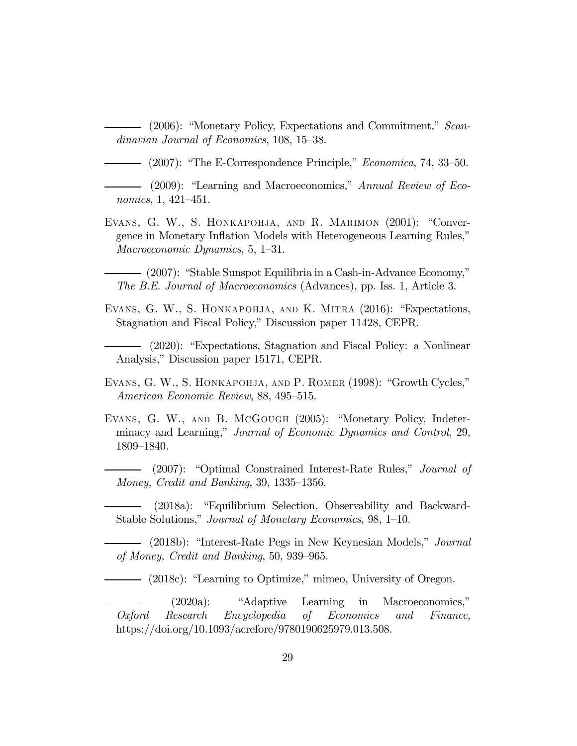(2006): "Monetary Policy, Expectations and Commitment," Scandinavian Journal of Economics, 108, 15—38.

 $-$  (2007): "The E-Correspondence Principle," *Economica*, 74, 33–50.

- (2009): "Learning and Macroeconomics," Annual Review of Economics, 1, 421—451.

Evans, G. W., S. Honkapohja, and R. Marimon (2001): "Convergence in Monetary Inflation Models with Heterogeneous Learning Rules," Macroeconomic Dynamics, 5, 1—31.

(2007): "Stable Sunspot Equilibria in a Cash-in-Advance Economy," The B.E. Journal of Macroeconomics (Advances), pp. Iss. 1, Article 3.

Evans, G. W., S. Honkapohja, and K. Mitra (2016): "Expectations, Stagnation and Fiscal Policy," Discussion paper 11428, CEPR.

(2020): "Expectations, Stagnation and Fiscal Policy: a Nonlinear Analysis," Discussion paper 15171, CEPR.

Evans, G. W., S. Honkapohja, and P. Romer (1998): "Growth Cycles," American Economic Review, 88, 495—515.

Evans, G. W., and B. McGough (2005): "Monetary Policy, Indeterminacy and Learning," Journal of Economic Dynamics and Control, 29, 1809—1840.

(2007): "Optimal Constrained Interest-Rate Rules," *Journal of* Money, Credit and Banking, 39, 1335—1356.

(2018a): "Equilibrium Selection, Observability and Backward-Stable Solutions," Journal of Monetary Economics, 98, 1—10.

- (2018b): "Interest-Rate Pegs in New Keynesian Models," *Journal* of Money, Credit and Banking, 50, 939—965.

(2018c): "Learning to Optimize," mimeo, University of Oregon.

(2020a): "Adaptive Learning in Macroeconomics," Oxford Research Encyclopedia of Economics and Finance, https://doi.org/10.1093/acrefore/9780190625979.013.508.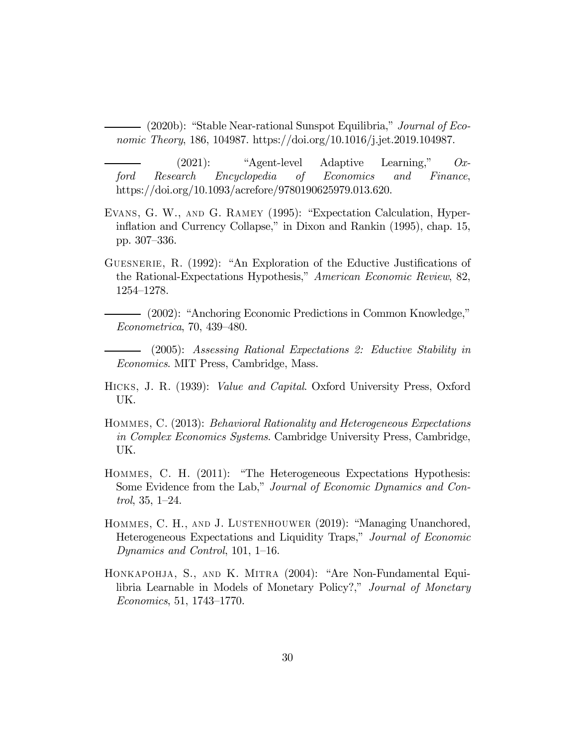(2020b): "Stable Near-rational Sunspot Equilibria," Journal of Economic Theory, 186, 104987. https://doi.org/10.1016/j.jet.2019.104987.

(2021): "Agent-level Adaptive Learning," Oxford Research Encyclopedia of Economics and Finance, https://doi.org/10.1093/acrefore/9780190625979.013.620.

- Evans, G. W., and G. Ramey (1995): "Expectation Calculation, Hyperinflation and Currency Collapse," in Dixon and Rankin (1995), chap. 15, pp. 307—336.
- Guesnerie, R. (1992): "An Exploration of the Eductive Justifications of the Rational-Expectations Hypothesis," American Economic Review, 82, 1254—1278.
- (2002): "Anchoring Economic Predictions in Common Knowledge," Econometrica, 70, 439—480.

(2005): Assessing Rational Expectations 2: Eductive Stability in Economics. MIT Press, Cambridge, Mass.

- Hicks, J. R. (1939): Value and Capital. Oxford University Press, Oxford UK.
- Hommes, C. (2013): Behavioral Rationality and Heterogeneous Expectations in Complex Economics Systems. Cambridge University Press, Cambridge, UK.
- Hommes, C. H. (2011): "The Heterogeneous Expectations Hypothesis: Some Evidence from the Lab," Journal of Economic Dynamics and Control, 35, 1—24.
- Hommes, C. H., and J. Lustenhouwer (2019): "Managing Unanchored, Heterogeneous Expectations and Liquidity Traps," Journal of Economic Dynamics and Control, 101, 1—16.
- Honkapohja, S., and K. Mitra (2004): "Are Non-Fundamental Equilibria Learnable in Models of Monetary Policy?," Journal of Monetary Economics, 51, 1743—1770.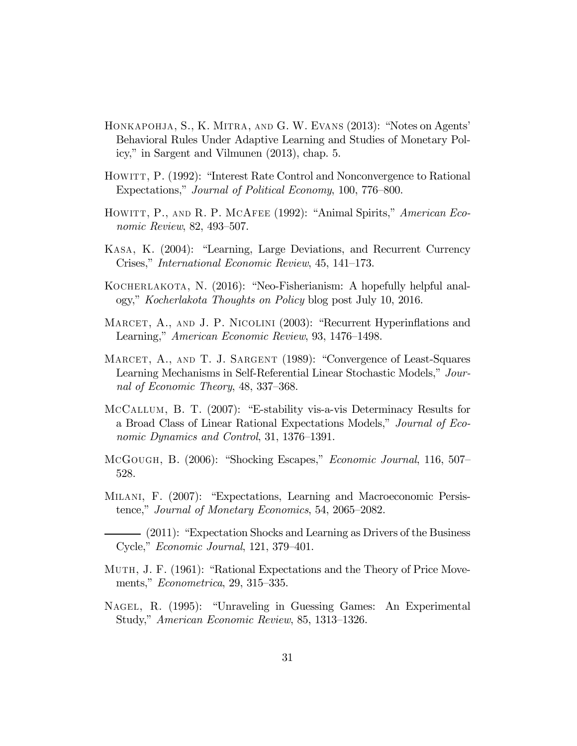- Honkapohja, S., K. Mitra, and G. W. Evans (2013): "Notes on Agents' Behavioral Rules Under Adaptive Learning and Studies of Monetary Policy," in Sargent and Vilmunen (2013), chap. 5.
- HOWITT, P. (1992): "Interest Rate Control and Nonconvergence to Rational Expectations," Journal of Political Economy, 100, 776—800.
- HOWITT, P., AND R. P. MCAFEE (1992): "Animal Spirits," American Economic Review, 82, 493—507.
- Kasa, K. (2004): "Learning, Large Deviations, and Recurrent Currency Crises," International Economic Review, 45, 141—173.
- KOCHERLAKOTA, N. (2016): "Neo-Fisherianism: A hopefully helpful analogy," Kocherlakota Thoughts on Policy blog post July 10, 2016.
- MARCET, A., AND J. P. NICOLINI (2003): "Recurrent Hyperinflations and Learning," American Economic Review, 93, 1476—1498.
- MARCET, A., AND T. J. SARGENT (1989): "Convergence of Least-Squares Learning Mechanisms in Self-Referential Linear Stochastic Models," Journal of Economic Theory, 48, 337—368.
- McCallum, B. T. (2007): "E-stability vis-a-vis Determinacy Results for a Broad Class of Linear Rational Expectations Models," Journal of Economic Dynamics and Control, 31, 1376—1391.
- McGough, B. (2006): "Shocking Escapes," Economic Journal, 116, 507— 528.
- Milani, F. (2007): "Expectations, Learning and Macroeconomic Persistence," Journal of Monetary Economics, 54, 2065—2082.

(2011): "Expectation Shocks and Learning as Drivers of the Business Cycle," Economic Journal, 121, 379—401.

- Muth, J. F. (1961): "Rational Expectations and the Theory of Price Movements," Econometrica, 29, 315—335.
- Nagel, R. (1995): "Unraveling in Guessing Games: An Experimental Study," American Economic Review, 85, 1313—1326.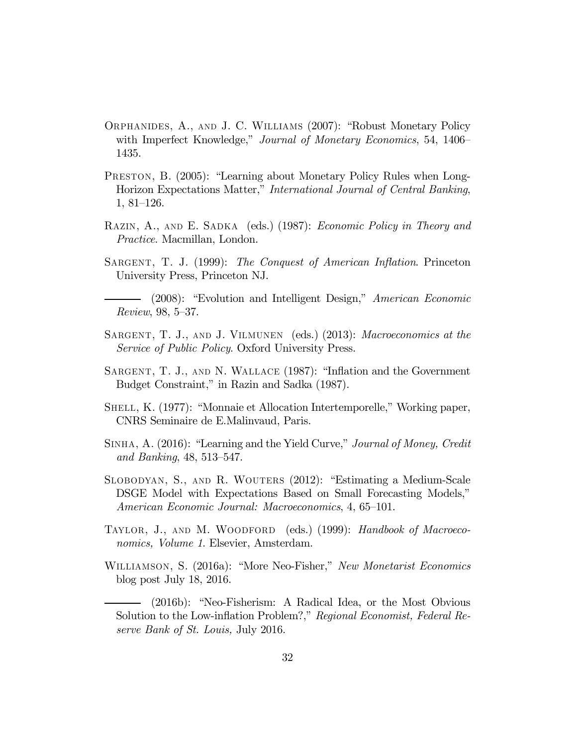- Orphanides, A., and J. C. Williams (2007): "Robust Monetary Policy with Imperfect Knowledge," Journal of Monetary Economics, 54, 1406– 1435.
- PRESTON, B. (2005): "Learning about Monetary Policy Rules when Long-Horizon Expectations Matter," International Journal of Central Banking, 1, 81—126.
- RAZIN, A., AND E. SADKA (eds.) (1987): *Economic Policy in Theory and* Practice. Macmillan, London.
- SARGENT, T. J. (1999): The Conquest of American Inflation. Princeton University Press, Princeton NJ.
- (2008): "Evolution and Intelligent Design," American Economic Review, 98, 5—37.
- SARGENT, T. J., AND J. VILMUNEN (eds.) (2013): Macroeconomics at the Service of Public Policy. Oxford University Press.
- SARGENT, T. J., AND N. WALLACE (1987): "Inflation and the Government Budget Constraint," in Razin and Sadka (1987).
- SHELL, K. (1977): "Monnaie et Allocation Intertemporelle," Working paper, CNRS Seminaire de E.Malinvaud, Paris.
- SINHA, A. (2016): "Learning and the Yield Curve," Journal of Money, Credit and Banking, 48, 513—547.
- Slobodyan, S., and R. Wouters (2012): "Estimating a Medium-Scale DSGE Model with Expectations Based on Small Forecasting Models," American Economic Journal: Macroeconomics, 4, 65—101.
- TAYLOR, J., AND M. WOODFORD (eds.) (1999): Handbook of Macroeconomics, Volume 1. Elsevier, Amsterdam.
- Williamson, S. (2016a): "More Neo-Fisher," New Monetarist Economics blog post July 18, 2016.
	- (2016b): "Neo-Fisherism: A Radical Idea, or the Most Obvious Solution to the Low-inflation Problem?," Regional Economist, Federal Reserve Bank of St. Louis, July 2016.